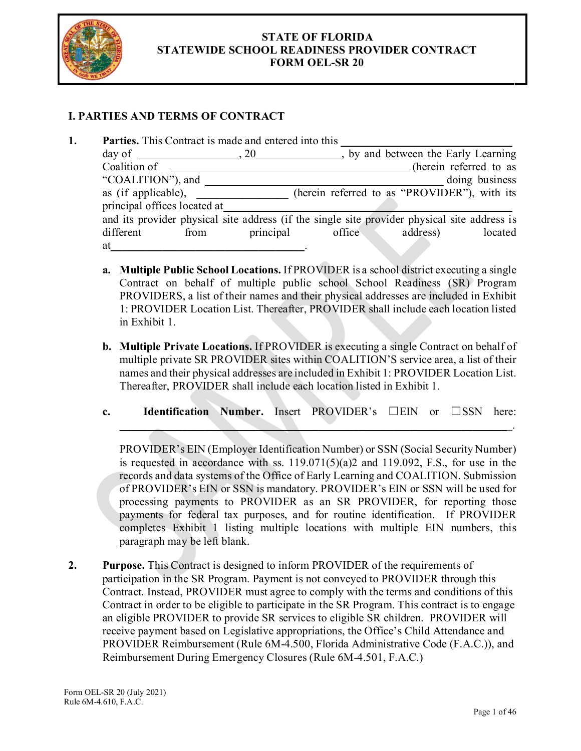

## **STATE OF FLORIDA STATEWIDE SCHOOL READINESS PROVIDER CONTRACT FORM OEL-SR 20**

# **I. PARTIES AND TERMS OF CONTRACT**

| by and between the Early Learning<br>$day of$ , 20                                           |
|----------------------------------------------------------------------------------------------|
|                                                                                              |
| (herein referred to as                                                                       |
| doing business                                                                               |
| (herein referred to as "PROVIDER"), with its                                                 |
|                                                                                              |
| and its provider physical site address (if the single site provider physical site address is |
| address)<br>principal<br>office<br>located                                                   |
|                                                                                              |
|                                                                                              |

- **a. Multiple Public School Locations.** If PROVIDER is a school district executing a single Contract on behalf of multiple public school School Readiness (SR) Program PROVIDERS, a list of their names and their physical addresses are included in Exhibit 1: PROVIDER Location List. Thereafter, PROVIDER shall include each location listed in Exhibit 1.
- **b. Multiple Private Locations.** If PROVIDER is executing a single Contract on behalf of multiple private SR PROVIDER sites within COALITION'S service area, a list of their names and their physical addresses are included in Exhibit 1: PROVIDER Location List. Thereafter, PROVIDER shall include each location listed in Exhibit 1.
- **c. Identification Number.** Insert PROVIDER's ☐EIN or ☐SSN here:

 $\blacksquare$  . The contract of the contract of the contract of the contract of the contract of the contract of the contract of the contract of the contract of the contract of the contract of the contract of the contract of the

PROVIDER's EIN (Employer Identification Number) or SSN (Social Security Number) is requested in accordance with ss.  $119.071(5)(a)2$  and  $119.092$ , F.S., for use in the records and data systems of the Office of Early Learning and COALITION. Submission of PROVIDER's EIN or SSN is mandatory. PROVIDER's EIN or SSN will be used for processing payments to PROVIDER as an SR PROVIDER, for reporting those payments for federal tax purposes, and for routine identification. If PROVIDER completes Exhibit 1 listing multiple locations with multiple EIN numbers, this paragraph may be left blank.

**2.** Purpose. This Contract is designed to inform PROVIDER of the requirements of participation in the SR Program. Payment is not conveyed to PROVIDER through this Contract. Instead, PROVIDER must agree to comply with the terms and conditions of this Contract in order to be eligible to participate in the SR Program. This contract is to engage an eligible PROVIDER to provide SR services to eligible SR children. PROVIDER will receive payment based on Legislative appropriations, the Office's Child Attendance and PROVIDER Reimbursement (Rule 6M-4.500, Florida Administrative Code (F.A.C.)), and Reimbursement During Emergency Closures (Rule 6M-4.501, F.A.C.)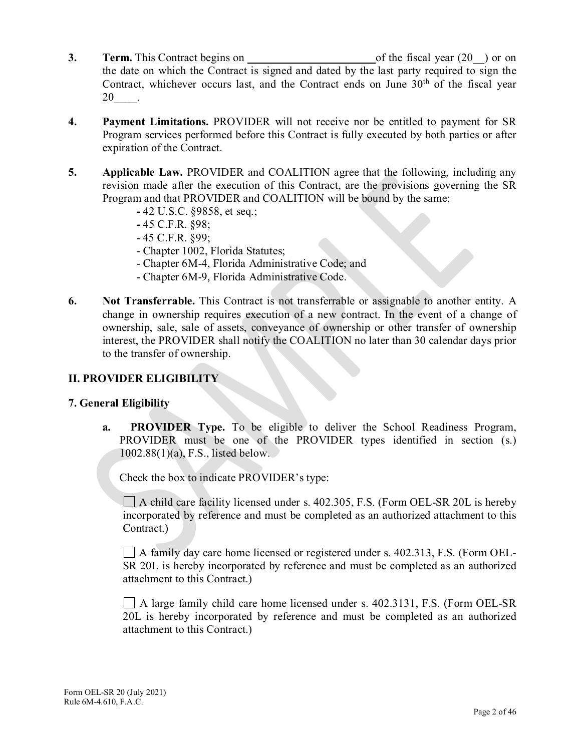- **3. Term.** This Contract begins on of the fiscal year (20<sup>-</sup>) or on the date on which the Contract is signed and dated by the last party required to sign the Contract, whichever occurs last, and the Contract ends on June  $30<sup>th</sup>$  of the fiscal year 20\_\_\_\_.
- **4. Payment Limitations.** PROVIDER will not receive nor be entitled to payment for SR Program services performed before this Contract is fully executed by both parties or after expiration of the Contract.
- **5. Applicable Law.** PROVIDER and COALITION agree that the following, including any revision made after the execution of this Contract, are the provisions governing the SR Program and that PROVIDER and COALITION will be bound by the same:
	- **-** 42 U.S.C. §9858, et seq.;
	- **-** 45 C.F.R. §98;
	- 45 C.F.R. §99;
	- Chapter 1002, Florida Statutes;
	- Chapter 6M-4, Florida Administrative Code; and
	- Chapter 6M-9, Florida Administrative Code.
- **6.** Not Transferrable. This Contract is not transferrable or assignable to another entity. A change in ownership requires execution of a new contract. In the event of a change of ownership, sale, sale of assets, conveyance of ownership or other transfer of ownership interest, the PROVIDER shall notify the COALITION no later than 30 calendar days prior to the transfer of ownership.

# **II. PROVIDER ELIGIBILITY**

# **7. General Eligibility**

**a. PROVIDER Type.** To be eligible to deliver the School Readiness Program, PROVIDER must be one of the PROVIDER types identified in section (s.) 1002.88(1)(a), F.S., listed below.

Check the box to indicate PROVIDER's type:

 $\Box$  A child care facility licensed under s. 402.305, F.S. (Form OEL-SR 20L is hereby incorporated by reference and must be completed as an authorized attachment to this Contract.)

A family day care home licensed or registered under s. 402.313, F.S. (Form OEL-SR 20L is hereby incorporated by reference and must be completed as an authorized attachment to this Contract.)

A large family child care home licensed under s. 402.3131, F.S. (Form OEL-SR 20L is hereby incorporated by reference and must be completed as an authorized attachment to this Contract.)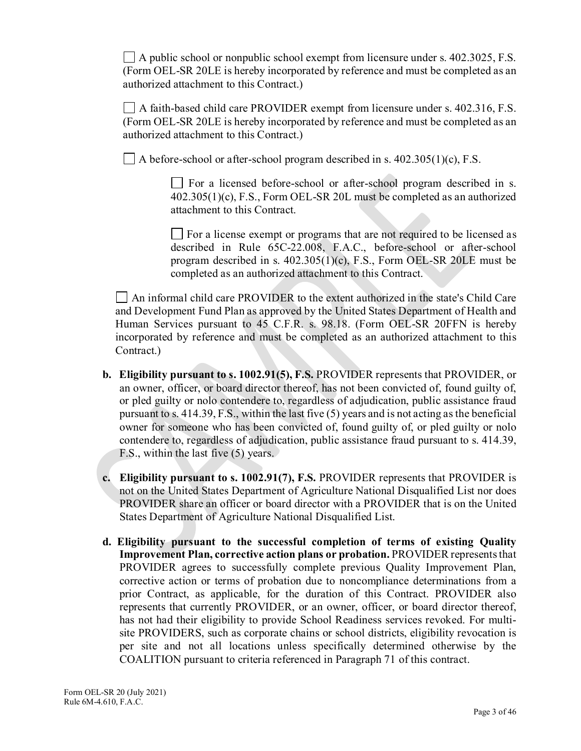$\Box$  A public school or nonpublic school exempt from licensure under s. 402.3025, F.S. (Form OEL-SR 20LE is hereby incorporated by reference and must be completed as an authorized attachment to this Contract.)

A faith-based child care PROVIDER exempt from licensure under s. 402.316, F.S. (Form OEL-SR 20LE is hereby incorporated by reference and must be completed as an authorized attachment to this Contract.)

 $\Box$  A before-school or after-school program described in s. 402.305(1)(c), F.S.

For a licensed before-school or after-school program described in s. 402.305(1)(c), F.S., Form OEL-SR 20L must be completed as an authorized attachment to this Contract.

 $\Box$  For a license exempt or programs that are not required to be licensed as described in Rule 65C-22.008, F.A.C., before-school or after-school program described in s. 402.305(1)(c), F.S., Form OEL-SR 20LE must be completed as an authorized attachment to this Contract.

An informal child care PROVIDER to the extent authorized in the state's Child Care and Development Fund Plan as approved by the United States Department of Health and Human Services pursuant to 45 C.F.R. s. 98.18. (Form OEL-SR 20FFN is hereby incorporated by reference and must be completed as an authorized attachment to this Contract.)

- **b. Eligibility pursuant to s. 1002.91(5), F.S.** PROVIDER represents that PROVIDER, or an owner, officer, or board director thereof, has not been convicted of, found guilty of, or pled guilty or nolo contendere to, regardless of adjudication, public assistance fraud pursuant to s. 414.39, F.S., within the last five (5) years and is not acting as the beneficial owner for someone who has been convicted of, found guilty of, or pled guilty or nolo contendere to, regardless of adjudication, public assistance fraud pursuant to s. 414.39, F.S., within the last five (5) years.
- **c. Eligibility pursuant to s. 1002.91(7), F.S.** PROVIDER represents that PROVIDER is not on the United States Department of Agriculture National Disqualified List nor does PROVIDER share an officer or board director with a PROVIDER that is on the United States Department of Agriculture National Disqualified List.
- **d. Eligibility pursuant to the successful completion of terms of existing Quality Improvement Plan, corrective action plans or probation.** PROVIDER represents that PROVIDER agrees to successfully complete previous Quality Improvement Plan, corrective action or terms of probation due to noncompliance determinations from a prior Contract, as applicable, for the duration of this Contract. PROVIDER also represents that currently PROVIDER, or an owner, officer, or board director thereof, has not had their eligibility to provide School Readiness services revoked. For multisite PROVIDERS, such as corporate chains or school districts, eligibility revocation is per site and not all locations unless specifically determined otherwise by the COALITION pursuant to criteria referenced in Paragraph 71 of this contract.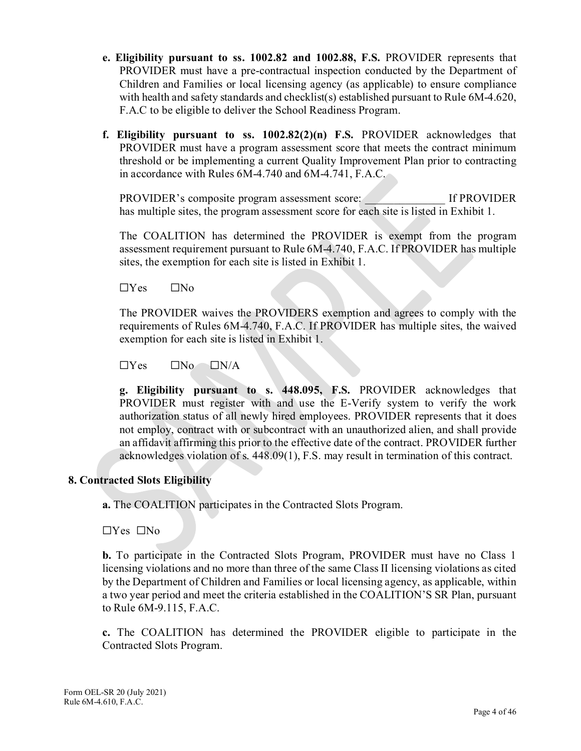- **e. Eligibility pursuant to ss. 1002.82 and 1002.88, F.S.** PROVIDER represents that PROVIDER must have a pre-contractual inspection conducted by the Department of Children and Families or local licensing agency (as applicable) to ensure compliance with health and safety standards and checklist(s) established pursuant to Rule  $6M-4.620$ , F.A.C to be eligible to deliver the School Readiness Program.
- **f. Eligibility pursuant to ss. 1002.82(2)(n) F.S.** PROVIDER acknowledges that PROVIDER must have a program assessment score that meets the contract minimum threshold or be implementing a current Quality Improvement Plan prior to contracting in accordance with Rules 6M-4.740 and 6M-4.741, F.A.C.

PROVIDER's composite program assessment score: If PROVIDER has multiple sites, the program assessment score for each site is listed in Exhibit 1.

The COALITION has determined the PROVIDER is exempt from the program assessment requirement pursuant to Rule 6M-4.740, F.A.C. If PROVIDER has multiple sites, the exemption for each site is listed in Exhibit 1.

 $\Box$ Yes  $\Box$ No

The PROVIDER waives the PROVIDERS exemption and agrees to comply with the requirements of Rules 6M-4.740, F.A.C. If PROVIDER has multiple sites, the waived exemption for each site is listed in Exhibit 1.

 $\Box$ Yes  $\Box$ No  $\Box$ N/A

**g. Eligibility pursuant to s. 448.095, F.S.** PROVIDER acknowledges that PROVIDER must register with and use the E-Verify system to verify the work authorization status of all newly hired employees. PROVIDER represents that it does not employ, contract with or subcontract with an unauthorized alien, and shall provide an affidavit affirming this prior to the effective date of the contract. PROVIDER further acknowledges violation of s. 448.09(1), F.S. may result in termination of this contract.

## **8. Contracted Slots Eligibility**

**a.** The COALITION participates in the Contracted Slots Program.

☐Yes ☐No

**b.** To participate in the Contracted Slots Program, PROVIDER must have no Class 1 licensing violations and no more than three of the same Class II licensing violations as cited by the Department of Children and Families or local licensing agency, as applicable, within a two year period and meet the criteria established in the COALITION'S SR Plan, pursuant to Rule 6M-9.115, F.A.C.

**c.** The COALITION has determined the PROVIDER eligible to participate in the Contracted Slots Program.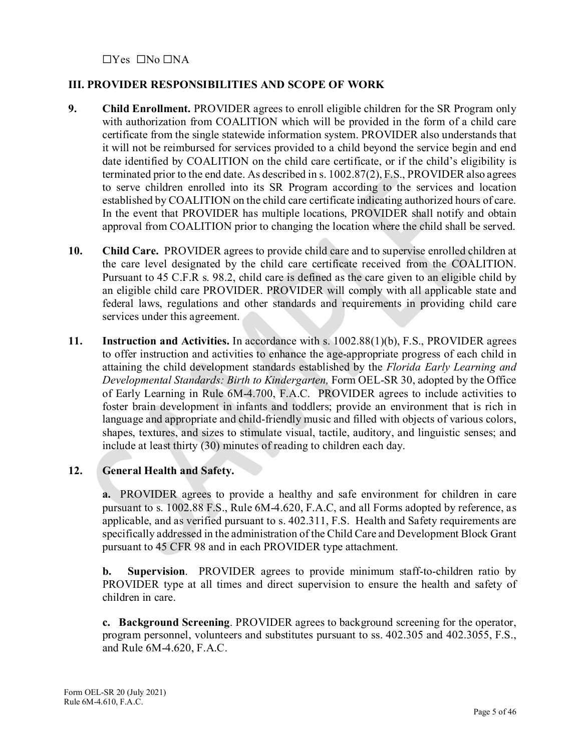☐Yes ☐No ☐NA

# **III. PROVIDER RESPONSIBILITIES AND SCOPE OF WORK**

- **9. Child Enrollment.** PROVIDER agrees to enroll eligible children for the SR Program only with authorization from COALITION which will be provided in the form of a child care certificate from the single statewide information system. PROVIDER also understands that it will not be reimbursed for services provided to a child beyond the service begin and end date identified by COALITION on the child care certificate, or if the child's eligibility is terminated prior to the end date. As described in s. 1002.87(2), F.S., PROVIDER also agrees to serve children enrolled into its SR Program according to the services and location established by COALITION on the child care certificate indicating authorized hours of care. In the event that PROVIDER has multiple locations, PROVIDER shall notify and obtain approval from COALITION prior to changing the location where the child shall be served.
- **10. Child Care.** PROVIDER agrees to provide child care and to supervise enrolled children at the care level designated by the child care certificate received from the COALITION. Pursuant to 45 C.F.R s. 98.2, child care is defined as the care given to an eligible child by an eligible child care PROVIDER. PROVIDER will comply with all applicable state and federal laws, regulations and other standards and requirements in providing child care services under this agreement.
- **11. Instruction and Activities.** In accordance with s. 1002.88(1)(b), F.S., PROVIDER agrees to offer instruction and activities to enhance the age-appropriate progress of each child in attaining the child development standards established by the *Florida Early Learning and Developmental Standards: Birth to Kindergarten,* Form OEL-SR 30, adopted by the Office of Early Learning in Rule 6M-4.700, F.A.C. PROVIDER agrees to include activities to foster brain development in infants and toddlers; provide an environment that is rich in language and appropriate and child-friendly music and filled with objects of various colors, shapes, textures, and sizes to stimulate visual, tactile, auditory, and linguistic senses; and include at least thirty (30) minutes of reading to children each day.

# **12. General Health and Safety.**

**a.** PROVIDER agrees to provide a healthy and safe environment for children in care pursuant to s. 1002.88 F.S., Rule 6M-4.620, F.A.C, and all Forms adopted by reference, as applicable, and as verified pursuant to s. 402.311, F.S. Health and Safety requirements are specifically addressed in the administration of the Child Care and Development Block Grant pursuant to 45 CFR 98 and in each PROVIDER type attachment.

**b. Supervision**. PROVIDER agrees to provide minimum staff-to-children ratio by PROVIDER type at all times and direct supervision to ensure the health and safety of children in care.

**c. Background Screening**. PROVIDER agrees to background screening for the operator, program personnel, volunteers and substitutes pursuant to ss. 402.305 and 402.3055, F.S., and Rule 6M-4.620, F.A.C.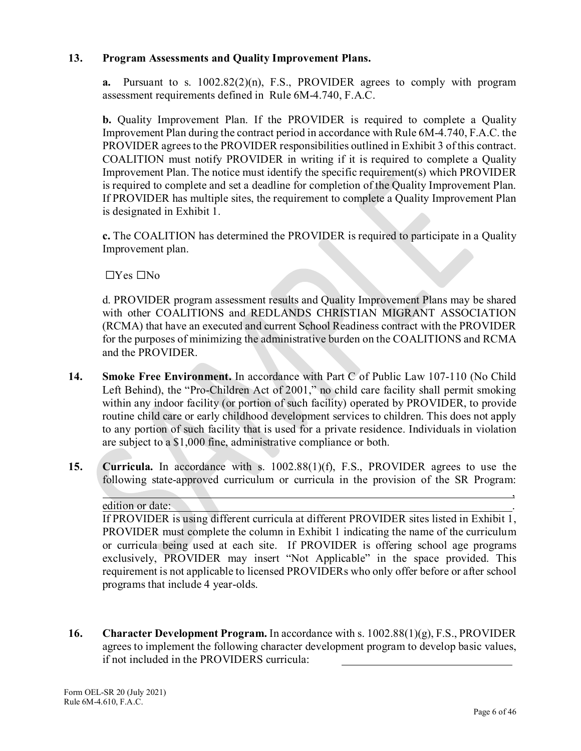## **13. Program Assessments and Quality Improvement Plans.**

**a.** Pursuant to s.  $1002.82(2)(n)$ , F.S., PROVIDER agrees to comply with program assessment requirements defined in Rule 6M-4.740, F.A.C.

**b.** Quality Improvement Plan. If the PROVIDER is required to complete a Quality Improvement Plan during the contract period in accordance with Rule 6M-4.740, F.A.C. the PROVIDER agrees to the PROVIDER responsibilities outlined in Exhibit 3 of this contract. COALITION must notify PROVIDER in writing if it is required to complete a Quality Improvement Plan. The notice must identify the specific requirement(s) which PROVIDER is required to complete and set a deadline for completion of the Quality Improvement Plan. If PROVIDER has multiple sites, the requirement to complete a Quality Improvement Plan is designated in Exhibit 1.

**c.** The COALITION has determined the PROVIDER is required to participate in a Quality Improvement plan.

☐Yes ☐No

d. PROVIDER program assessment results and Quality Improvement Plans may be shared with other COALITIONS and REDLANDS CHRISTIAN MIGRANT ASSOCIATION (RCMA) that have an executed and current School Readiness contract with the PROVIDER for the purposes of minimizing the administrative burden on the COALITIONS and RCMA and the PROVIDER.

- **14. Smoke Free Environment.** In accordance with Part C of Public Law 107-110 (No Child Left Behind), the "Pro-Children Act of 2001," no child care facility shall permit smoking within any indoor facility (or portion of such facility) operated by PROVIDER, to provide routine child care or early childhood development services to children. This does not apply to any portion of such facility that is used for a private residence. Individuals in violation are subject to a \$1,000 fine, administrative compliance or both.
- **15. Curricula.** In accordance with s. 1002.88(1)(f), F.S., PROVIDER agrees to use the following state-approved curriculum or curricula in the provision of the SR Program:

#### edition or date:

If PROVIDER is using different curricula at different PROVIDER sites listed in Exhibit 1, PROVIDER must complete the column in Exhibit 1 indicating the name of the curriculum or curricula being used at each site. If PROVIDER is offering school age programs exclusively, PROVIDER may insert "Not Applicable" in the space provided. This requirement is not applicable to licensed PROVIDERs who only offer before or after school programs that include 4 year-olds.

, where the contract of the contract of the contract of the contract of the contract of the contract of the contract of the contract of the contract of the contract of the contract of the contract of the contract of the c

**16. Character Development Program.** In accordance with s. 1002.88(1)(g), F.S., PROVIDER agrees to implement the following character development program to develop basic values, if not included in the PROVIDERS curricula: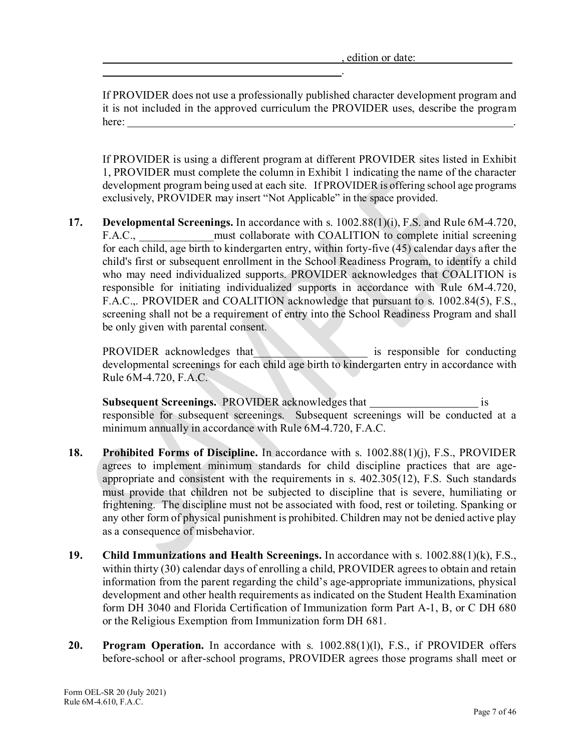.

If PROVIDER does not use a professionally published character development program and it is not included in the approved curriculum the PROVIDER uses, describe the program here: .

If PROVIDER is using a different program at different PROVIDER sites listed in Exhibit 1, PROVIDER must complete the column in Exhibit 1 indicating the name of the character development program being used at each site. If PROVIDER is offering school age programs exclusively, PROVIDER may insert "Not Applicable" in the space provided.

**17. Developmental Screenings.** In accordance with s. 1002.88(1)(i), F.S. and Rule 6M-4.720, F.A.C., must collaborate with COALITION to complete initial screening for each child, age birth to kindergarten entry, within forty-five  $(45)$  calendar days after the child's first or subsequent enrollment in the School Readiness Program, to identify a child who may need individualized supports. PROVIDER acknowledges that COALITION is responsible for initiating individualized supports in accordance with Rule 6M-4.720, F.A.C.,. PROVIDER and COALITION acknowledge that pursuant to s. 1002.84(5), F.S., screening shall not be a requirement of entry into the School Readiness Program and shall be only given with parental consent.

PROVIDER acknowledges that the set of the set of the set of the set of the set of the set of the set of the set of the set of the set of the set of the set of the set of the set of the set of the set of the set of the set developmental screenings for each child age birth to kindergarten entry in accordance with Rule 6M-4.720, F.A.C.

**Subsequent Screenings.** PROVIDER acknowledges that is responsible for subsequent screenings. Subsequent screenings will be conducted at a minimum annually in accordance with Rule 6M-4.720, F.A.C.

- **18. Prohibited Forms of Discipline.** In accordance with s. 1002.88(1)(j), F.S., PROVIDER agrees to implement minimum standards for child discipline practices that are ageappropriate and consistent with the requirements in s. 402.305(12), F.S. Such standards must provide that children not be subjected to discipline that is severe, humiliating or frightening. The discipline must not be associated with food, rest or toileting. Spanking or any other form of physical punishment is prohibited. Children may not be denied active play as a consequence of misbehavior.
- **19. Child Immunizations and Health Screenings.** In accordance with s. 1002.88(1)(k), F.S., within thirty (30) calendar days of enrolling a child, PROVIDER agrees to obtain and retain information from the parent regarding the child's age-appropriate immunizations, physical development and other health requirements as indicated on the Student Health Examination form DH 3040 and Florida Certification of Immunization form Part A-1, B, or C DH 680 or the Religious Exemption from Immunization form DH 681.
- **20. Program Operation.** In accordance with s. 1002.88(1)(1), F.S., if PROVIDER offers before-school or after-school programs, PROVIDER agrees those programs shall meet or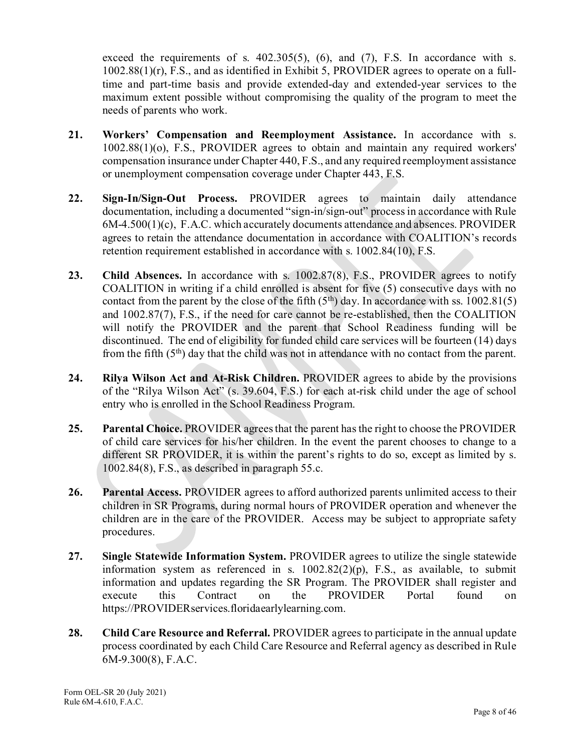exceed the requirements of s.  $402.305(5)$ ,  $(6)$ , and  $(7)$ , F.S. In accordance with s. 1002.88(1)(r), F.S., and as identified in Exhibit 5, PROVIDER agrees to operate on a fulltime and part-time basis and provide extended-day and extended-year services to the maximum extent possible without compromising the quality of the program to meet the needs of parents who work.

- **21. Workers' Compensation and Reemployment Assistance.** In accordance with s. 1002.88(1)(o), F.S., PROVIDER agrees to obtain and maintain any required workers' compensation insurance under Chapter 440, F.S., and any required reemployment assistance or unemployment compensation coverage under Chapter 443, F.S.
- **22. Sign-In/Sign-Out Process.** PROVIDER agrees to maintain daily attendance documentation, including a documented "sign-in/sign-out" process in accordance with Rule 6M-4.500(1)(c), F.A.C. which accurately documents attendance and absences. PROVIDER agrees to retain the attendance documentation in accordance with COALITION's records retention requirement established in accordance with s. 1002.84(10), F.S.
- 23. Child Absences. In accordance with s. 1002.87(8), F.S., PROVIDER agrees to notify COALITION in writing if a child enrolled is absent for five (5) consecutive days with no contact from the parent by the close of the fifth  $(5<sup>th</sup>)$  day. In accordance with ss. 1002.81(5) and 1002.87(7), F.S., if the need for care cannot be re-established, then the COALITION will notify the PROVIDER and the parent that School Readiness funding will be discontinued. The end of eligibility for funded child care services will be fourteen (14) days from the fifth  $(5<sup>th</sup>)$  day that the child was not in attendance with no contact from the parent.
- **24. Rilya Wilson Act and At-Risk Children.** PROVIDER agrees to abide by the provisions of the "Rilya Wilson Act" (s. 39.604, F.S.) for each at-risk child under the age of school entry who is enrolled in the School Readiness Program.
- **25. Parental Choice.** PROVIDER agrees that the parent has the right to choose the PROVIDER of child care services for his/her children. In the event the parent chooses to change to a different SR PROVIDER, it is within the parent's rights to do so, except as limited by s. 1002.84(8), F.S., as described in paragraph 55.c.
- **26. Parental Access.** PROVIDER agrees to afford authorized parents unlimited access to their children in SR Programs, during normal hours of PROVIDER operation and whenever the children are in the care of the PROVIDER. Access may be subject to appropriate safety procedures.
- **27. Single Statewide Information System.** PROVIDER agrees to utilize the single statewide information system as referenced in s. 1002.82(2)(p), F.S., as available, to submit information and updates regarding the SR Program. The PROVIDER shall register and execute this Contract on the PROVIDER Portal found on [https://PROVIDERservices.floridaearlylearning.com.](https://providerservices.floridaearlylearning.com/)
- **28. Child Care Resource and Referral.** PROVIDER agrees to participate in the annual update process coordinated by each Child Care Resource and Referral agency as described in Rule 6M-9.300(8), F.A.C.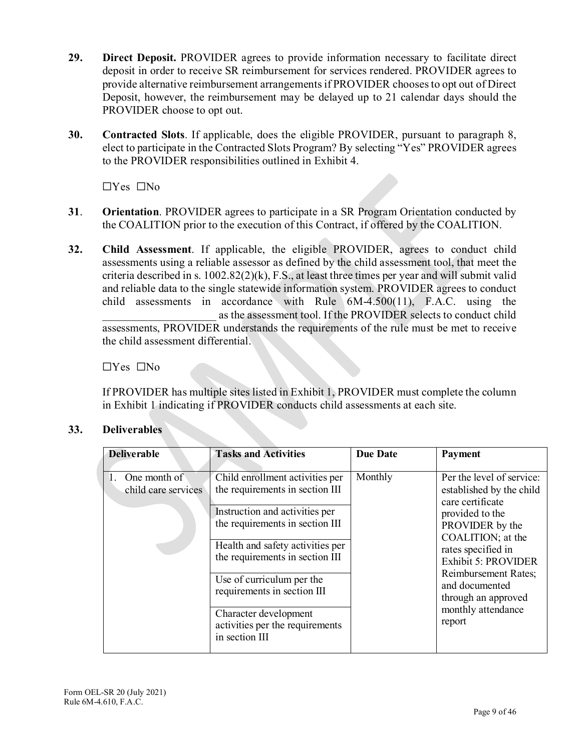- **29. Direct Deposit.** PROVIDER agrees to provide information necessary to facilitate direct deposit in order to receive SR reimbursement for services rendered. PROVIDER agrees to provide alternative reimbursement arrangements if PROVIDER choosesto opt out of Direct Deposit, however, the reimbursement may be delayed up to 21 calendar days should the PROVIDER choose to opt out.
- **30. Contracted Slots**. If applicable, does the eligible PROVIDER, pursuant to paragraph 8, elect to participate in the Contracted Slots Program? By selecting "Yes" PROVIDER agrees to the PROVIDER responsibilities outlined in Exhibit 4.

☐Yes ☐No

- **31**. **Orientation**. PROVIDER agrees to participate in a SR Program Orientation conducted by the COALITION prior to the execution of this Contract, if offered by the COALITION.
- **32. Child Assessment**. If applicable, the eligible PROVIDER, agrees to conduct child assessments using a reliable assessor as defined by the child assessment tool, that meet the criteria described in s. 1002.82(2)(k), F.S., at least three times per year and will submit valid and reliable data to the single statewide information system. PROVIDER agrees to conduct child assessments in accordance with Rule 6M-4.500(11), F.A.C. using the as the assessment tool. If the PROVIDER selects to conduct child assessments, PROVIDER understands the requirements of the rule must be met to receive the child assessment differential.

☐Yes ☐No

If PROVIDER has multiple sites listed in Exhibit 1, PROVIDER must complete the column in Exhibit 1 indicating if PROVIDER conducts child assessments at each site.

# **33. Deliverables**

| <b>Deliverable</b>                  | <b>Tasks and Activities</b>                                                | <b>Due Date</b> | <b>Payment</b>                                                            |
|-------------------------------------|----------------------------------------------------------------------------|-----------------|---------------------------------------------------------------------------|
| One month of<br>child care services | Child enrollment activities per<br>the requirements in section III         | Monthly         | Per the level of service:<br>established by the child<br>care certificate |
|                                     | Instruction and activities per<br>the requirements in section III          |                 | provided to the<br>PROVIDER by the<br>COALITION; at the                   |
|                                     | Health and safety activities per<br>the requirements in section III        |                 | rates specified in<br><b>Exhibit 5: PROVIDER</b><br>Reimbursement Rates;  |
|                                     | Use of curriculum per the<br>requirements in section III                   |                 | and documented<br>through an approved                                     |
|                                     | Character development<br>activities per the requirements<br>in section III |                 | monthly attendance<br>report                                              |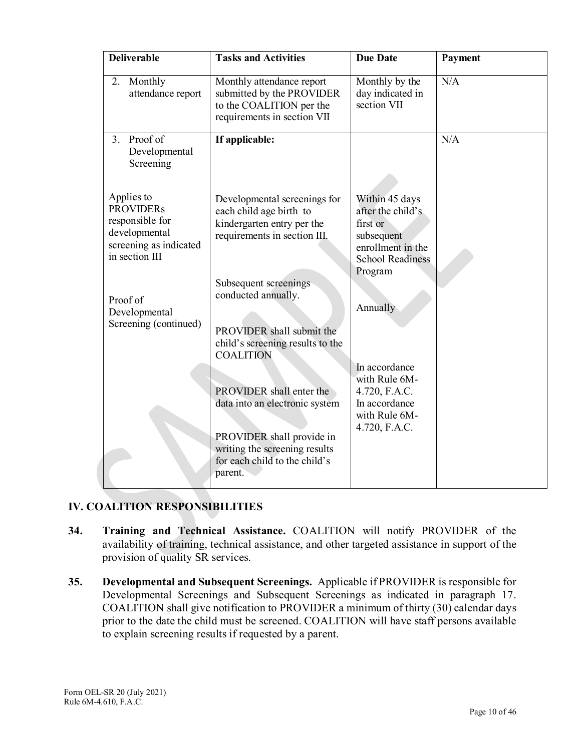| <b>Deliverable</b>                                                                                             | <b>Tasks and Activities</b>                                                                                                                                          | <b>Due Date</b>                                                                                                          | Payment |
|----------------------------------------------------------------------------------------------------------------|----------------------------------------------------------------------------------------------------------------------------------------------------------------------|--------------------------------------------------------------------------------------------------------------------------|---------|
| Monthly<br>2.<br>attendance report                                                                             | Monthly attendance report<br>submitted by the PROVIDER<br>to the COALITION per the<br>requirements in section VII                                                    | Monthly by the<br>day indicated in<br>section VII                                                                        | N/A     |
| Proof of<br>3.<br>Developmental<br>Screening                                                                   | If applicable:                                                                                                                                                       |                                                                                                                          | N/A     |
| Applies to<br><b>PROVIDERs</b><br>responsible for<br>developmental<br>screening as indicated<br>in section III | Developmental screenings for<br>each child age birth to<br>kindergarten entry per the<br>requirements in section III.                                                | Within 45 days<br>after the child's<br>first or<br>subsequent<br>enrollment in the<br><b>School Readiness</b><br>Program |         |
| Proof of<br>Developmental<br>Screening (continued)                                                             | Subsequent screenings<br>conducted annually.<br>PROVIDER shall submit the<br>child's screening results to the<br><b>COALITION</b>                                    | Annually                                                                                                                 |         |
|                                                                                                                | PROVIDER shall enter the<br>data into an electronic system<br>PROVIDER shall provide in<br>writing the screening results<br>for each child to the child's<br>parent. | In accordance<br>with Rule 6M-<br>4.720, F.A.C.<br>In accordance<br>with Rule 6M-<br>4.720, F.A.C.                       |         |

# **IV. COALITION RESPONSIBILITIES**

- **34. Training and Technical Assistance.** COALITION will notify PROVIDER of the availability of training, technical assistance, and other targeted assistance in support of the provision of quality SR services.
- **35. Developmental and Subsequent Screenings.** Applicable if PROVIDER is responsible for Developmental Screenings and Subsequent Screenings as indicated in paragraph 17. COALITION shall give notification to PROVIDER a minimum of thirty (30) calendar days prior to the date the child must be screened. COALITION will have staff persons available to explain screening results if requested by a parent.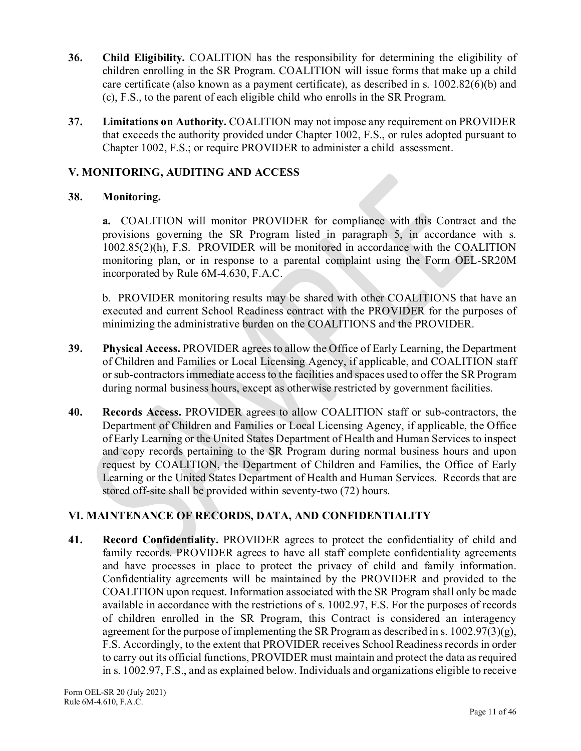- **36. Child Eligibility.** COALITION has the responsibility for determining the eligibility of children enrolling in the SR Program. COALITION will issue forms that make up a child care certificate (also known as a payment certificate), as described in s. 1002.82(6)(b) and (c), F.S., to the parent of each eligible child who enrolls in the SR Program.
- **37. Limitations on Authority.** COALITION may not impose any requirement on PROVIDER that exceeds the authority provided under Chapter 1002, F.S., or rules adopted pursuant to Chapter 1002, F.S.; or require PROVIDER to administer a child assessment.

# **V. MONITORING, AUDITING AND ACCESS**

## **38. Monitoring.**

**a.** COALITION will monitor PROVIDER for compliance with this Contract and the provisions governing the SR Program listed in paragraph 5, in accordance with s. 1002.85(2)(h), F.S. PROVIDER will be monitored in accordance with the COALITION monitoring plan, or in response to a parental complaint using the Form OEL-SR20M incorporated by Rule 6M-4.630, F.A.C.

b. PROVIDER monitoring results may be shared with other COALITIONS that have an executed and current School Readiness contract with the PROVIDER for the purposes of minimizing the administrative burden on the COALITIONS and the PROVIDER.

- **39. Physical Access.** PROVIDER agrees to allow the Office of Early Learning, the Department of Children and Families or Local Licensing Agency, if applicable, and COALITION staff or sub-contractors immediate access to the facilities and spaces used to offer the SR Program during normal business hours, except as otherwise restricted by government facilities.
- **40. Records Access.** PROVIDER agrees to allow COALITION staff or sub-contractors, the Department of Children and Families or Local Licensing Agency, if applicable, the Office of Early Learning or the United States Department of Health and Human Services to inspect and copy records pertaining to the SR Program during normal business hours and upon request by COALITION, the Department of Children and Families, the Office of Early Learning or the United States Department of Health and Human Services. Records that are stored off-site shall be provided within seventy-two (72) hours.

# **VI. MAINTENANCE OF RECORDS, DATA, AND CONFIDENTIALITY**

**41. Record Confidentiality.** PROVIDER agrees to protect the confidentiality of child and family records. PROVIDER agrees to have all staff complete confidentiality agreements and have processes in place to protect the privacy of child and family information. Confidentiality agreements will be maintained by the PROVIDER and provided to the COALITION upon request. Information associated with the SR Program shall only be made available in accordance with the restrictions of s. 1002.97, F.S. For the purposes of records of children enrolled in the SR Program, this Contract is considered an interagency agreement for the purpose of implementing the SR Program as described in s.  $1002.97(3)(g)$ , F.S. Accordingly, to the extent that PROVIDER receives School Readiness records in order to carry out its official functions, PROVIDER must maintain and protect the data as required in s. 1002.97, F.S., and as explained below. Individuals and organizations eligible to receive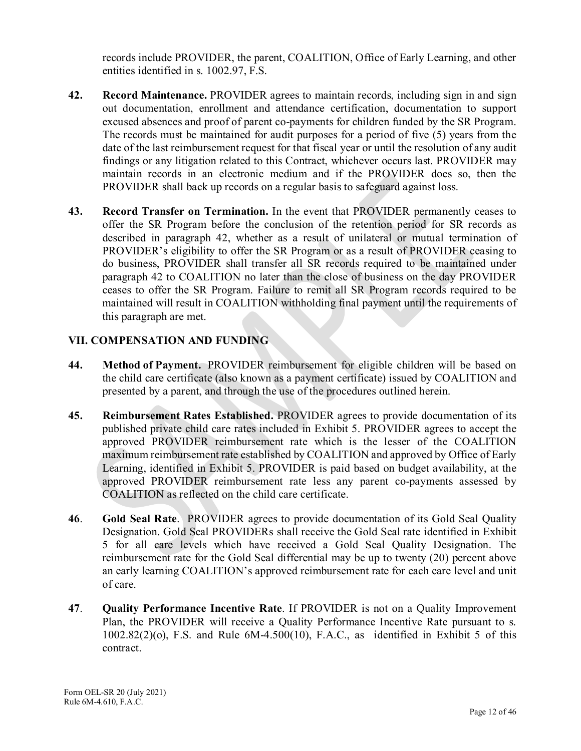records include PROVIDER, the parent, COALITION, Office of Early Learning, and other entities identified in s. 1002.97, F.S.

- **42. Record Maintenance.** PROVIDER agrees to maintain records, including sign in and sign out documentation, enrollment and attendance certification, documentation to support excused absences and proof of parent co-payments for children funded by the SR Program. The records must be maintained for audit purposes for a period of five (5) years from the date of the last reimbursement request for that fiscal year or until the resolution of any audit findings or any litigation related to this Contract, whichever occurs last. PROVIDER may maintain records in an electronic medium and if the PROVIDER does so, then the PROVIDER shall back up records on a regular basis to safeguard against loss.
- **43. Record Transfer on Termination.** In the event that PROVIDER permanently ceases to offer the SR Program before the conclusion of the retention period for SR records as described in paragraph 42, whether as a result of unilateral or mutual termination of PROVIDER's eligibility to offer the SR Program or as a result of PROVIDER ceasing to do business, PROVIDER shall transfer all SR records required to be maintained under paragraph 42 to COALITION no later than the close of business on the day PROVIDER ceases to offer the SR Program. Failure to remit all SR Program records required to be maintained will result in COALITION withholding final payment until the requirements of this paragraph are met.

# **VII. COMPENSATION AND FUNDING**

- **44. Method of Payment.** PROVIDER reimbursement for eligible children will be based on the child care certificate (also known as a payment certificate) issued by COALITION and presented by a parent, and through the use of the procedures outlined herein.
- **45. Reimbursement Rates Established.** PROVIDER agrees to provide documentation of its published private child care rates included in Exhibit 5. PROVIDER agrees to accept the approved PROVIDER reimbursement rate which is the lesser of the COALITION maximum reimbursement rate established by COALITION and approved by Office of Early Learning, identified in Exhibit 5. PROVIDER is paid based on budget availability, at the approved PROVIDER reimbursement rate less any parent co-payments assessed by COALITION as reflected on the child care certificate.
- **46**. **Gold Seal Rate**. PROVIDER agrees to provide documentation of its Gold Seal Quality Designation. Gold Seal PROVIDERs shall receive the Gold Seal rate identified in Exhibit 5 for all care levels which have received a Gold Seal Quality Designation. The reimbursement rate for the Gold Seal differential may be up to twenty (20) percent above an early learning COALITION's approved reimbursement rate for each care level and unit of care.
- **47**. **Quality Performance Incentive Rate**. If PROVIDER is not on a Quality Improvement Plan, the PROVIDER will receive a Quality Performance Incentive Rate pursuant to s.  $1002.82(2)(o)$ , F.S. and Rule  $6M-4.500(10)$ , F.A.C., as identified in Exhibit 5 of this contract.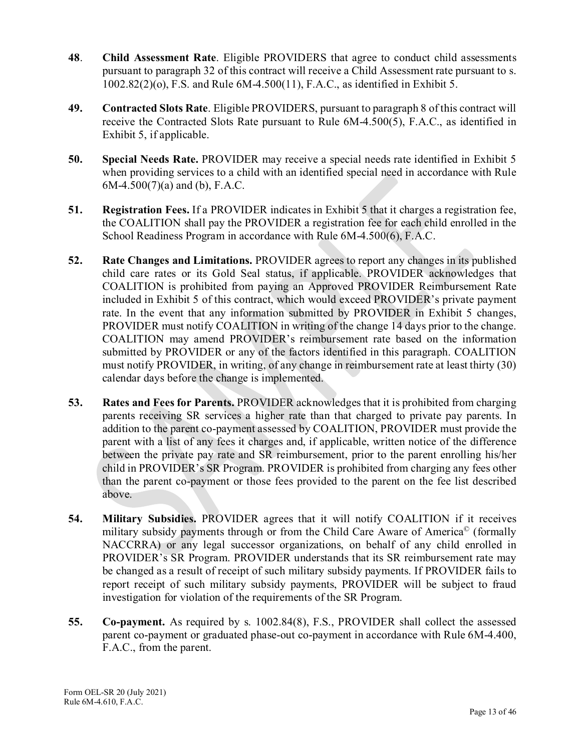- **48**. **Child Assessment Rate**. Eligible PROVIDERS that agree to conduct child assessments pursuant to paragraph 32 of this contract will receive a Child Assessment rate pursuant to s. 1002.82(2)(o), F.S. and Rule 6M-4.500(11), F.A.C., as identified in Exhibit 5.
- **49. Contracted Slots Rate**. Eligible PROVIDERS, pursuant to paragraph 8 of this contract will receive the Contracted Slots Rate pursuant to Rule 6M-4.500(5), F.A.C., as identified in Exhibit 5, if applicable.
- **50. Special Needs Rate.** PROVIDER may receive a special needs rate identified in Exhibit 5 when providing services to a child with an identified special need in accordance with Rule  $6M-4.500(7)(a)$  and (b), F.A.C.
- **51. Registration Fees.** If a PROVIDER indicates in Exhibit 5 that it charges a registration fee, the COALITION shall pay the PROVIDER a registration fee for each child enrolled in the School Readiness Program in accordance with Rule 6M-4.500(6), F.A.C.
- **52. Rate Changes and Limitations.** PROVIDER agrees to report any changes in its published child care rates or its Gold Seal status, if applicable. PROVIDER acknowledges that COALITION is prohibited from paying an Approved PROVIDER Reimbursement Rate included in Exhibit 5 of this contract, which would exceed PROVIDER's private payment rate. In the event that any information submitted by PROVIDER in Exhibit 5 changes, PROVIDER must notify COALITION in writing of the change 14 days prior to the change. COALITION may amend PROVIDER's reimbursement rate based on the information submitted by PROVIDER or any of the factors identified in this paragraph. COALITION must notify PROVIDER, in writing, of any change in reimbursement rate at least thirty (30) calendar days before the change is implemented.
- **53. Rates and Fees for Parents.** PROVIDER acknowledges that it is prohibited from charging parents receiving SR services a higher rate than that charged to private pay parents. In addition to the parent co-payment assessed by COALITION, PROVIDER must provide the parent with a list of any fees it charges and, if applicable, written notice of the difference between the private pay rate and SR reimbursement, prior to the parent enrolling his/her child in PROVIDER's SR Program. PROVIDER is prohibited from charging any fees other than the parent co-payment or those fees provided to the parent on the fee list described above.
- **54. Military Subsidies.** PROVIDER agrees that it will notify COALITION if it receives military subsidy payments through or from the Child Care Aware of America© (formally NACCRRA) or any legal successor organizations, on behalf of any child enrolled in PROVIDER's SR Program. PROVIDER understands that its SR reimbursement rate may be changed as a result of receipt of such military subsidy payments. If PROVIDER fails to report receipt of such military subsidy payments, PROVIDER will be subject to fraud investigation for violation of the requirements of the SR Program.
- **55. Co-payment.** As required by s. 1002.84(8), F.S., PROVIDER shall collect the assessed parent co-payment or graduated phase-out co-payment in accordance with Rule 6M-4.400, F.A.C., from the parent.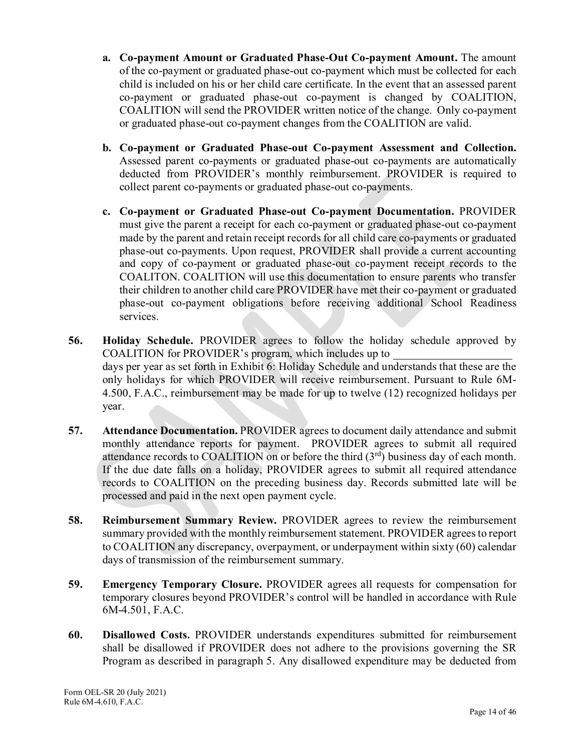- **a. Co-payment Amount or Graduated Phase-Out Co-payment Amount.** The amount of the co-payment or graduated phase-out co-payment which must be collected for each child is included on his or her child care certificate. In the event that an assessed parent co-payment or graduated phase-out co-payment is changed by COALITION, COALITION will send the PROVIDER written notice of the change. Only co-payment or graduated phase-out co-payment changes from the COALITION are valid.
- **b. Co-payment or Graduated Phase-out Co-payment Assessment and Collection.**  Assessed parent co-payments or graduated phase-out co-payments are automatically deducted from PROVIDER's monthly reimbursement. PROVIDER is required to collect parent co-payments or graduated phase-out co-payments.
- **c. Co-payment or Graduated Phase-out Co-payment Documentation.** PROVIDER must give the parent a receipt for each co-payment or graduated phase-out co-payment made by the parent and retain receipt records for all child care co-payments or graduated phase-out co-payments. Upon request, PROVIDER shall provide a current accounting and copy of co-payment or graduated phase-out co-payment receipt records to the COALITON. COALITION will use this documentation to ensure parents who transfer their children to another child care PROVIDER have met their co-payment or graduated phase-out co-payment obligations before receiving additional School Readiness services.
- **56. Holiday Schedule.** PROVIDER agrees to follow the holiday schedule approved by COALITION for PROVIDER's program, which includes up to days per year as set forth in Exhibit 6: Holiday Schedule and understands that these are the only holidays for which PROVIDER will receive reimbursement. Pursuant to Rule 6M-4.500, F.A.C., reimbursement may be made for up to twelve (12) recognized holidays per year.
- **57. Attendance Documentation.** PROVIDER agrees to document daily attendance and submit monthly attendance reports for payment. PROVIDER agrees to submit all required attendance records to COALITION on or before the third (3rd) business day of each month. If the due date falls on a holiday, PROVIDER agrees to submit all required attendance records to COALITION on the preceding business day. Records submitted late will be processed and paid in the next open payment cycle.
- **58. Reimbursement Summary Review.** PROVIDER agrees to review the reimbursement summary provided with the monthly reimbursement statement. PROVIDER agrees to report to COALITION any discrepancy, overpayment, or underpayment within sixty (60) calendar days of transmission of the reimbursement summary.
- **59. Emergency Temporary Closure.** PROVIDER agrees all requests for compensation for temporary closures beyond PROVIDER's control will be handled in accordance with Rule 6M-4.501, F.A.C.
- **60. Disallowed Costs.** PROVIDER understands expenditures submitted for reimbursement shall be disallowed if PROVIDER does not adhere to the provisions governing the SR Program as described in paragraph 5. Any disallowed expenditure may be deducted from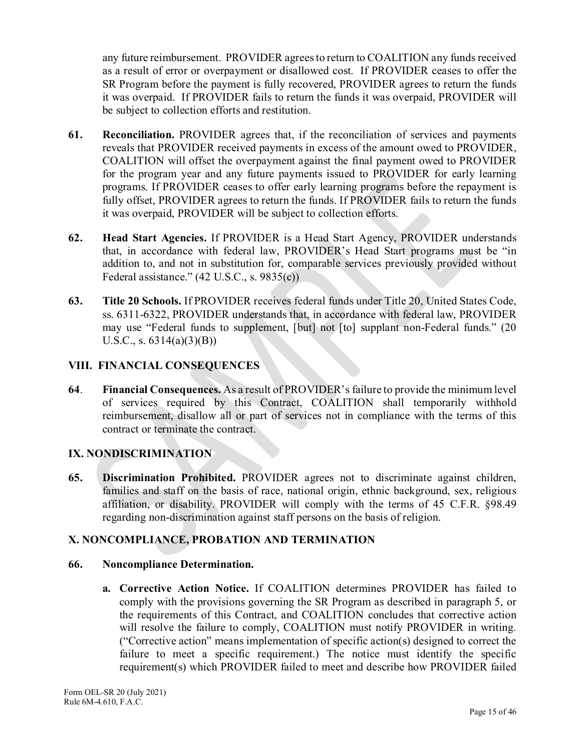any future reimbursement. PROVIDER agrees to return to COALITION any funds received as a result of error or overpayment or disallowed cost. If PROVIDER ceases to offer the SR Program before the payment is fully recovered, PROVIDER agrees to return the funds it was overpaid. If PROVIDER fails to return the funds it was overpaid, PROVIDER will be subject to collection efforts and restitution.

- **61. Reconciliation.** PROVIDER agrees that, if the reconciliation of services and payments reveals that PROVIDER received payments in excess of the amount owed to PROVIDER, COALITION will offset the overpayment against the final payment owed to PROVIDER for the program year and any future payments issued to PROVIDER for early learning programs. If PROVIDER ceases to offer early learning programs before the repayment is fully offset, PROVIDER agrees to return the funds. If PROVIDER fails to return the funds it was overpaid, PROVIDER will be subject to collection efforts.
- **62. Head Start Agencies.** If PROVIDER is a Head Start Agency, PROVIDER understands that, in accordance with federal law, PROVIDER's Head Start programs must be "in addition to, and not in substitution for, comparable services previously provided without Federal assistance." (42 U.S.C., s. 9835(c))
- **63. Title 20 Schools.** If PROVIDER receives federal funds under Title 20, United States Code, ss. 6311-6322, PROVIDER understands that, in accordance with federal law, PROVIDER may use "Federal funds to supplement, [but] not [to] supplant non-Federal funds." (20 U.S.C., s.  $6314(a)(3)(B)$

# **VIII. FINANCIAL CONSEQUENCES**

**64**. **Financial Consequences.** As a result of PROVIDER's failure to provide the minimum level of services required by this Contract, COALITION shall temporarily withhold reimbursement, disallow all or part of services not in compliance with the terms of this contract or terminate the contract.

# **IX. NONDISCRIMINATION**

**65. Discrimination Prohibited.** PROVIDER agrees not to discriminate against children, families and staff on the basis of race, national origin, ethnic background, sex, religious affiliation, or disability. PROVIDER will comply with the terms of 45 C.F.R. §98.49 regarding non-discrimination against staff persons on the basis of religion.

# **X. NONCOMPLIANCE, PROBATION AND TERMINATION**

## **66. Noncompliance Determination.**

**a. Corrective Action Notice.** If COALITION determines PROVIDER has failed to comply with the provisions governing the SR Program as described in paragraph 5, or the requirements of this Contract, and COALITION concludes that corrective action will resolve the failure to comply, COALITION must notify PROVIDER in writing. ("Corrective action" means implementation of specific action(s) designed to correct the failure to meet a specific requirement.) The notice must identify the specific requirement(s) which PROVIDER failed to meet and describe how PROVIDER failed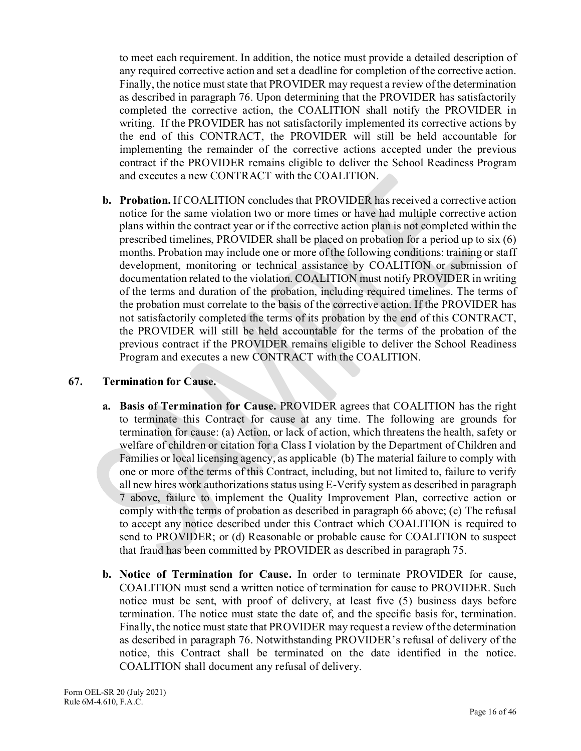to meet each requirement. In addition, the notice must provide a detailed description of any required corrective action and set a deadline for completion of the corrective action. Finally, the notice must state that PROVIDER may request a review of the determination as described in paragraph 76. Upon determining that the PROVIDER has satisfactorily completed the corrective action, the COALITION shall notify the PROVIDER in writing. If the PROVIDER has not satisfactorily implemented its corrective actions by the end of this CONTRACT, the PROVIDER will still be held accountable for implementing the remainder of the corrective actions accepted under the previous contract if the PROVIDER remains eligible to deliver the School Readiness Program and executes a new CONTRACT with the COALITION.

**b. Probation.** If COALITION concludes that PROVIDER has received a corrective action notice for the same violation two or more times or have had multiple corrective action plans within the contract year or if the corrective action plan is not completed within the prescribed timelines, PROVIDER shall be placed on probation for a period up to six (6) months. Probation may include one or more of the following conditions: training or staff development, monitoring or technical assistance by COALITION or submission of documentation related to the violation. COALITION must notify PROVIDER in writing of the terms and duration of the probation, including required timelines. The terms of the probation must correlate to the basis of the corrective action. If the PROVIDER has not satisfactorily completed the terms of its probation by the end of this CONTRACT, the PROVIDER will still be held accountable for the terms of the probation of the previous contract if the PROVIDER remains eligible to deliver the School Readiness Program and executes a new CONTRACT with the COALITION.

## **67. Termination for Cause.**

- **a. Basis of Termination for Cause.** PROVIDER agrees that COALITION has the right to terminate this Contract for cause at any time. The following are grounds for termination for cause: (a) Action, or lack of action, which threatens the health, safety or welfare of children or citation for a Class I violation by the Department of Children and Families or local licensing agency, as applicable (b) The material failure to comply with one or more of the terms of this Contract, including, but not limited to, failure to verify all new hires work authorizations status using E-Verify system as described in paragraph 7 above, failure to implement the Quality Improvement Plan, corrective action or comply with the terms of probation as described in paragraph 66 above; (c) The refusal to accept any notice described under this Contract which COALITION is required to send to PROVIDER; or (d) Reasonable or probable cause for COALITION to suspect that fraud has been committed by PROVIDER as described in paragraph 75.
- **b. Notice of Termination for Cause.** In order to terminate PROVIDER for cause, COALITION must send a written notice of termination for cause to PROVIDER. Such notice must be sent, with proof of delivery, at least five (5) business days before termination. The notice must state the date of, and the specific basis for, termination. Finally, the notice must state that PROVIDER may request a review of the determination as described in paragraph 76. Notwithstanding PROVIDER's refusal of delivery of the notice, this Contract shall be terminated on the date identified in the notice. COALITION shall document any refusal of delivery.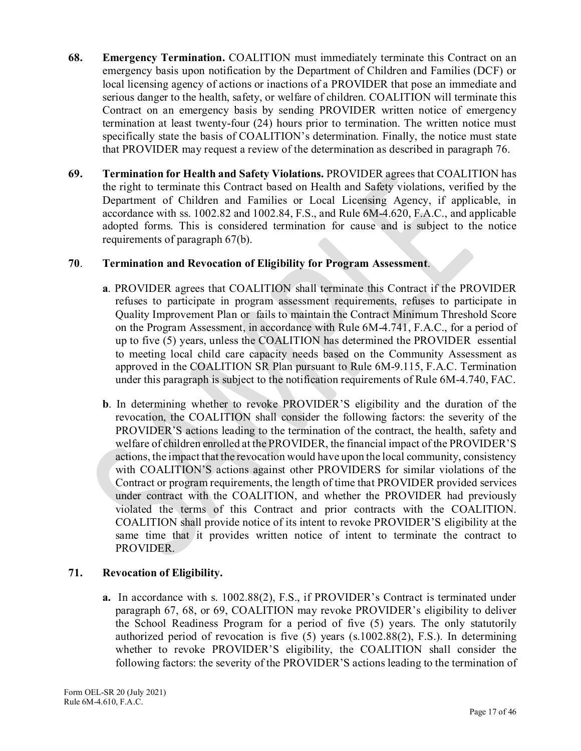- **68. Emergency Termination.** COALITION must immediately terminate this Contract on an emergency basis upon notification by the Department of Children and Families (DCF) or local licensing agency of actions or inactions of a PROVIDER that pose an immediate and serious danger to the health, safety, or welfare of children. COALITION will terminate this Contract on an emergency basis by sending PROVIDER written notice of emergency termination at least twenty-four (24) hours prior to termination. The written notice must specifically state the basis of COALITION's determination. Finally, the notice must state that PROVIDER may request a review of the determination as described in paragraph 76.
- **69. Termination for Health and Safety Violations.** PROVIDER agrees that COALITION has the right to terminate this Contract based on Health and Safety violations, verified by the Department of Children and Families or Local Licensing Agency, if applicable, in accordance with ss. 1002.82 and 1002.84, F.S., and Rule 6M-4.620, F.A.C., and applicable adopted forms. This is considered termination for cause and is subject to the notice requirements of paragraph 67(b).

## **70**. **Termination and Revocation of Eligibility for Program Assessment**.

- **a**. PROVIDER agrees that COALITION shall terminate this Contract if the PROVIDER refuses to participate in program assessment requirements, refuses to participate in Quality Improvement Plan or fails to maintain the Contract Minimum Threshold Score on the Program Assessment, in accordance with Rule 6M-4.741, F.A.C., for a period of up to five (5) years, unless the COALITION has determined the PROVIDER essential to meeting local child care capacity needs based on the Community Assessment as approved in the COALITION SR Plan pursuant to Rule 6M-9.115, F.A.C. Termination under this paragraph is subject to the notification requirements of Rule 6M-4.740, FAC.
- **b**. In determining whether to revoke PROVIDER'S eligibility and the duration of the revocation, the COALITION shall consider the following factors: the severity of the PROVIDER'S actions leading to the termination of the contract, the health, safety and welfare of children enrolled at the PROVIDER, the financial impact of the PROVIDER'S actions, the impact that the revocation would have upon the local community, consistency with COALITION'S actions against other PROVIDERS for similar violations of the Contract or program requirements, the length of time that PROVIDER provided services under contract with the COALITION, and whether the PROVIDER had previously violated the terms of this Contract and prior contracts with the COALITION. COALITION shall provide notice of its intent to revoke PROVIDER'S eligibility at the same time that it provides written notice of intent to terminate the contract to PROVIDER.

# **71. Revocation of Eligibility.**

**a.** In accordance with s. 1002.88(2), F.S., if PROVIDER's Contract is terminated under paragraph 67, 68, or 69, COALITION may revoke PROVIDER's eligibility to deliver the School Readiness Program for a period of five (5) years. The only statutorily authorized period of revocation is five (5) years (s.1002.88(2), F.S.). In determining whether to revoke PROVIDER'S eligibility, the COALITION shall consider the following factors: the severity of the PROVIDER'S actions leading to the termination of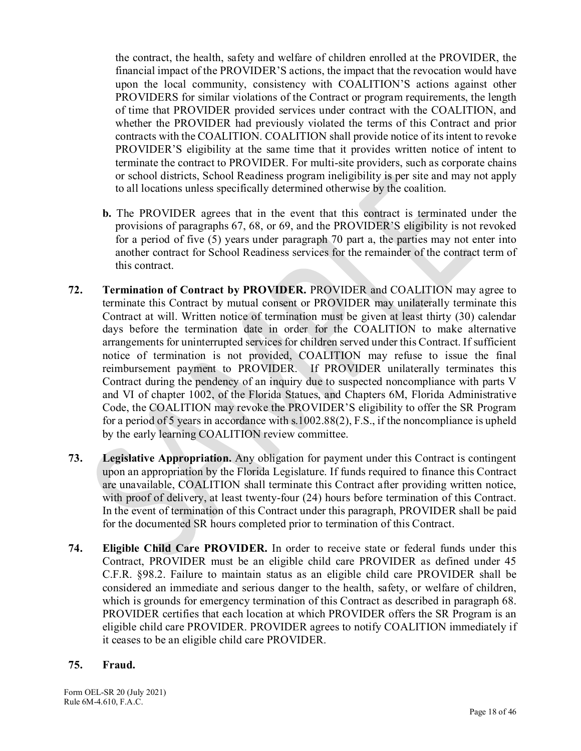the contract, the health, safety and welfare of children enrolled at the PROVIDER, the financial impact of the PROVIDER'S actions, the impact that the revocation would have upon the local community, consistency with COALITION'S actions against other PROVIDERS for similar violations of the Contract or program requirements, the length of time that PROVIDER provided services under contract with the COALITION, and whether the PROVIDER had previously violated the terms of this Contract and prior contracts with the COALITION. COALITION shall provide notice of its intent to revoke PROVIDER'S eligibility at the same time that it provides written notice of intent to terminate the contract to PROVIDER. For multi-site providers, such as corporate chains or school districts, School Readiness program ineligibility is per site and may not apply to all locations unless specifically determined otherwise by the coalition.

- **b.** The PROVIDER agrees that in the event that this contract is terminated under the provisions of paragraphs 67, 68, or 69, and the PROVIDER'S eligibility is not revoked for a period of five (5) years under paragraph 70 part a, the parties may not enter into another contract for School Readiness services for the remainder of the contract term of this contract.
- **72. Termination of Contract by PROVIDER.** PROVIDER and COALITION may agree to terminate this Contract by mutual consent or PROVIDER may unilaterally terminate this Contract at will. Written notice of termination must be given at least thirty (30) calendar days before the termination date in order for the COALITION to make alternative arrangements for uninterrupted services for children served under this Contract. If sufficient notice of termination is not provided, COALITION may refuse to issue the final reimbursement payment to PROVIDER. If PROVIDER unilaterally terminates this Contract during the pendency of an inquiry due to suspected noncompliance with parts V and VI of chapter 1002, of the Florida Statues, and Chapters 6M, Florida Administrative Code, the COALITION may revoke the PROVIDER'S eligibility to offer the SR Program for a period of 5 years in accordance with s.1002.88(2), F.S., if the noncompliance is upheld by the early learning COALITION review committee.
- **73. Legislative Appropriation.** Any obligation for payment under this Contract is contingent upon an appropriation by the Florida Legislature. If funds required to finance this Contract are unavailable, COALITION shall terminate this Contract after providing written notice, with proof of delivery, at least twenty-four (24) hours before termination of this Contract. In the event of termination of this Contract under this paragraph, PROVIDER shall be paid for the documented SR hours completed prior to termination of this Contract.
- **74. Eligible Child Care PROVIDER.** In order to receive state or federal funds under this Contract, PROVIDER must be an eligible child care PROVIDER as defined under 45 C.F.R. §98.2. Failure to maintain status as an eligible child care PROVIDER shall be considered an immediate and serious danger to the health, safety, or welfare of children, which is grounds for emergency termination of this Contract as described in paragraph 68. PROVIDER certifies that each location at which PROVIDER offers the SR Program is an eligible child care PROVIDER. PROVIDER agrees to notify COALITION immediately if it ceases to be an eligible child care PROVIDER.

## **75. Fraud.**

Form OEL-SR 20 (July 2021) Rule 6M-4.610, F.A.C.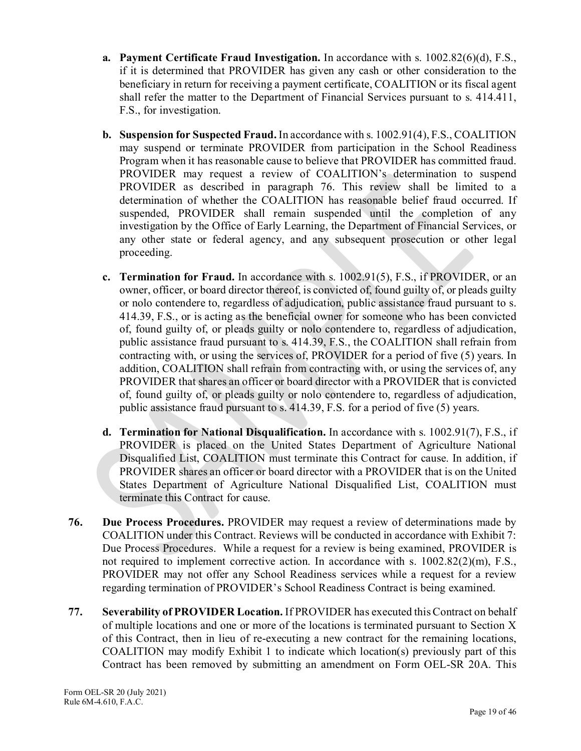- **a. Payment Certificate Fraud Investigation.** In accordance with s. 1002.82(6)(d), F.S., if it is determined that PROVIDER has given any cash or other consideration to the beneficiary in return for receiving a payment certificate, COALITION or its fiscal agent shall refer the matter to the Department of Financial Services pursuant to s. 414.411, F.S., for investigation.
- **b. Suspension for Suspected Fraud.** In accordance with s. 1002.91(4), F.S., COALITION may suspend or terminate PROVIDER from participation in the School Readiness Program when it has reasonable cause to believe that PROVIDER has committed fraud. PROVIDER may request a review of COALITION's determination to suspend PROVIDER as described in paragraph 76. This review shall be limited to a determination of whether the COALITION has reasonable belief fraud occurred. If suspended, PROVIDER shall remain suspended until the completion of any investigation by the Office of Early Learning, the Department of Financial Services, or any other state or federal agency, and any subsequent prosecution or other legal proceeding.
- **c. Termination for Fraud.** In accordance with s. 1002.91(5), F.S., if PROVIDER, or an owner, officer, or board director thereof, is convicted of, found guilty of, or pleads guilty or nolo contendere to, regardless of adjudication, public assistance fraud pursuant to s. 414.39, F.S., or is acting as the beneficial owner for someone who has been convicted of, found guilty of, or pleads guilty or nolo contendere to, regardless of adjudication, public assistance fraud pursuant to s. 414.39, F.S., the COALITION shall refrain from contracting with, or using the services of, PROVIDER for a period of five (5) years. In addition, COALITION shall refrain from contracting with, or using the services of, any PROVIDER that shares an officer or board director with a PROVIDER that is convicted of, found guilty of, or pleads guilty or nolo contendere to, regardless of adjudication, public assistance fraud pursuant to s. 414.39, F.S. for a period of five (5) years.
- **d. Termination for National Disqualification.** In accordance with s. 1002.91(7), F.S., if PROVIDER is placed on the United States Department of Agriculture National Disqualified List, COALITION must terminate this Contract for cause. In addition, if PROVIDER shares an officer or board director with a PROVIDER that is on the United States Department of Agriculture National Disqualified List, COALITION must terminate this Contract for cause.
- **76. Due Process Procedures.** PROVIDER may request a review of determinations made by COALITION under this Contract. Reviews will be conducted in accordance with Exhibit 7: Due Process Procedures. While a request for a review is being examined, PROVIDER is not required to implement corrective action. In accordance with s. 1002.82(2)(m), F.S., PROVIDER may not offer any School Readiness services while a request for a review regarding termination of PROVIDER's School Readiness Contract is being examined.
- **77. Severability of PROVIDER Location.** If PROVIDER has executed this Contract on behalf of multiple locations and one or more of the locations is terminated pursuant to Section X of this Contract, then in lieu of re-executing a new contract for the remaining locations, COALITION may modify Exhibit 1 to indicate which location(s) previously part of this Contract has been removed by submitting an amendment on Form OEL-SR 20A. This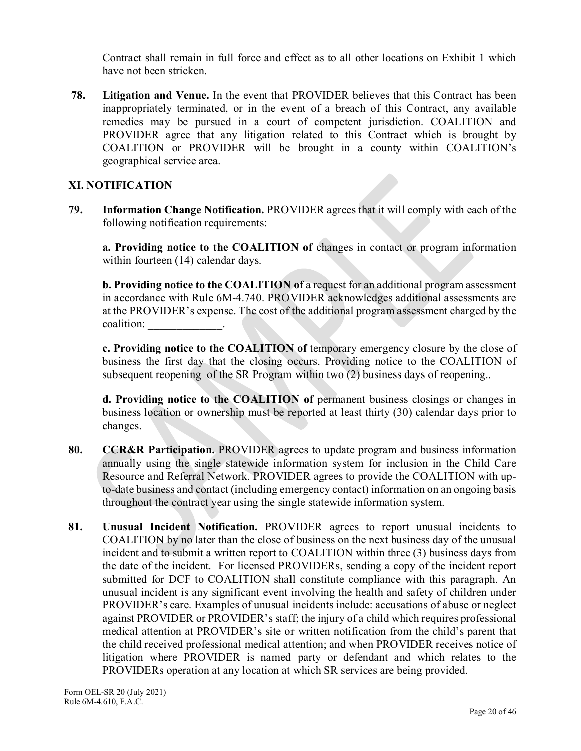Contract shall remain in full force and effect as to all other locations on Exhibit 1 which have not been stricken.

**78. Litigation and Venue.** In the event that PROVIDER believes that this Contract has been inappropriately terminated, or in the event of a breach of this Contract, any available remedies may be pursued in a court of competent jurisdiction. COALITION and PROVIDER agree that any litigation related to this Contract which is brought by COALITION or PROVIDER will be brought in a county within COALITION's geographical service area.

# **XI. NOTIFICATION**

**79. Information Change Notification.** PROVIDER agrees that it will comply with each of the following notification requirements:

 **a. Providing notice to the COALITION of** changes in contact or program information within fourteen (14) calendar days.

**b. Providing notice to the COALITION of a request for an additional program assessment** in accordance with Rule 6M-4.740. PROVIDER acknowledges additional assessments are at the PROVIDER's expense. The cost of the additional program assessment charged by the coalition: The control of the control of the control of the control of the control of the control of the control of the control of the control of the control of the control of the control of the control of the control of t

**c. Providing notice to the COALITION of** temporary emergency closure by the close of business the first day that the closing occurs. Providing notice to the COALITION of subsequent reopening of the SR Program within two (2) business days of reopening..

**d. Providing notice to the COALITION of** permanent business closings or changes in business location or ownership must be reported at least thirty (30) calendar days prior to changes.

- **80. CCR&R Participation.** PROVIDER agrees to update program and business information annually using the single statewide information system for inclusion in the Child Care Resource and Referral Network. PROVIDER agrees to provide the COALITION with upto-date business and contact (including emergency contact) information on an ongoing basis throughout the contract year using the single statewide information system.
- **81. Unusual Incident Notification.** PROVIDER agrees to report unusual incidents to COALITION by no later than the close of business on the next business day of the unusual incident and to submit a written report to COALITION within three (3) business days from the date of the incident. For licensed PROVIDERs, sending a copy of the incident report submitted for DCF to COALITION shall constitute compliance with this paragraph. An unusual incident is any significant event involving the health and safety of children under PROVIDER's care. Examples of unusual incidents include: accusations of abuse or neglect against PROVIDER or PROVIDER's staff; the injury of a child which requires professional medical attention at PROVIDER's site or written notification from the child's parent that the child received professional medical attention; and when PROVIDER receives notice of litigation where PROVIDER is named party or defendant and which relates to the PROVIDERs operation at any location at which SR services are being provided.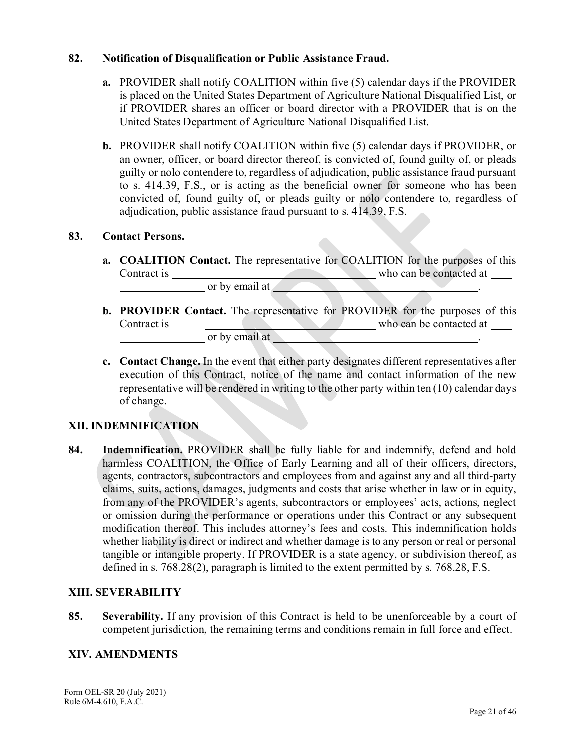## **82. Notification of Disqualification or Public Assistance Fraud.**

- **a.** PROVIDER shall notify COALITION within five (5) calendar days if the PROVIDER is placed on the United States Department of Agriculture National Disqualified List, or if PROVIDER shares an officer or board director with a PROVIDER that is on the United States Department of Agriculture National Disqualified List.
- **b.** PROVIDER shall notify COALITION within five (5) calendar days if PROVIDER, or an owner, officer, or board director thereof, is convicted of, found guilty of, or pleads guilty or nolo contendere to, regardless of adjudication, public assistance fraud pursuant to s. 414.39, F.S., or is acting as the beneficial owner for someone who has been convicted of, found guilty of, or pleads guilty or nolo contendere to, regardless of adjudication, public assistance fraud pursuant to s. 414.39, F.S.

#### **83. Contact Persons.**

**a. COALITION Contact.** The representative for COALITION for the purposes of this Contract is who can be contacted at

or by email at ...

- **b. PROVIDER Contact.** The representative for PROVIDER for the purposes of this Contract is who can be contacted at or by email at  $\qquad \qquad$  .
- **c. Contact Change.** In the event that either party designates different representatives after execution of this Contract, notice of the name and contact information of the new representative will be rendered in writing to the other party within ten (10) calendar days of change.

## **XII. INDEMNIFICATION**

**84. Indemnification.** PROVIDER shall be fully liable for and indemnify, defend and hold harmless COALITION, the Office of Early Learning and all of their officers, directors, agents, contractors, subcontractors and employees from and against any and all third-party claims, suits, actions, damages, judgments and costs that arise whether in law or in equity, from any of the PROVIDER's agents, subcontractors or employees' acts, actions, neglect or omission during the performance or operations under this Contract or any subsequent modification thereof. This includes attorney's fees and costs. This indemnification holds whether liability is direct or indirect and whether damage is to any person or real or personal tangible or intangible property. If PROVIDER is a state agency, or subdivision thereof, as defined in s. 768.28(2), paragraph is limited to the extent permitted by s. 768.28, F.S.

#### **XIII. SEVERABILITY**

**85. Severability.** If any provision of this Contract is held to be unenforceable by a court of competent jurisdiction, the remaining terms and conditions remain in full force and effect.

#### **XIV. AMENDMENTS**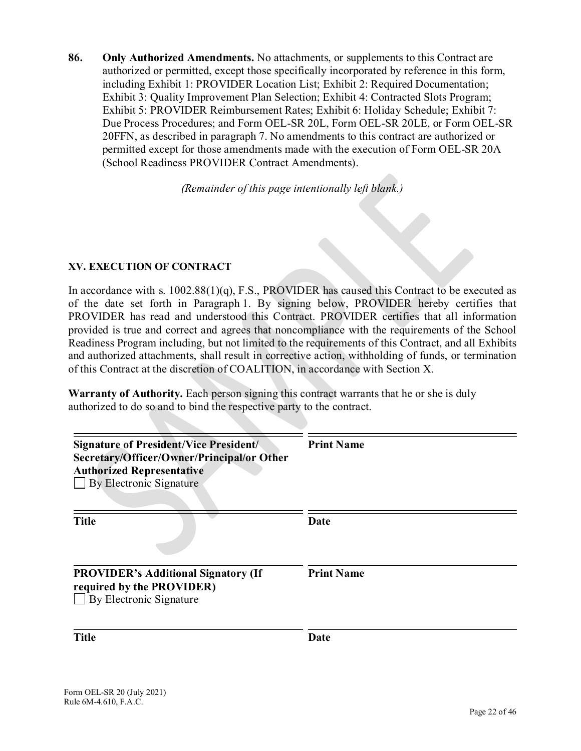**86. Only Authorized Amendments.** No attachments, or supplements to this Contract are authorized or permitted, except those specifically incorporated by reference in this form, including Exhibit 1: PROVIDER Location List; Exhibit 2: Required Documentation; Exhibit 3: Quality Improvement Plan Selection; Exhibit 4: Contracted Slots Program; Exhibit 5: PROVIDER Reimbursement Rates; Exhibit 6: Holiday Schedule; Exhibit 7: Due Process Procedures; and Form OEL-SR 20L, Form OEL-SR 20LE, or Form OEL-SR 20FFN, as described in paragraph 7. No amendments to this contract are authorized or permitted except for those amendments made with the execution of Form OEL-SR 20A (School Readiness PROVIDER Contract Amendments).

*(Remainder of this page intentionally left blank.)*

## **XV. EXECUTION OF CONTRACT**

In accordance with s.  $1002.88(1)(q)$ , F.S., PROVIDER has caused this Contract to be executed as of the date set forth in Paragraph 1. By signing below, PROVIDER hereby certifies that PROVIDER has read and understood this Contract. PROVIDER certifies that all information provided is true and correct and agrees that noncompliance with the requirements of the School Readiness Program including, but not limited to the requirements of this Contract, and all Exhibits and authorized attachments, shall result in corrective action, withholding of funds, or termination of this Contract at the discretion of COALITION, in accordance with Section X.

**Warranty of Authority.** Each person signing this contract warrants that he or she is duly authorized to do so and to bind the respective party to the contract.

| <b>Signature of President/Vice President/</b><br>Secretary/Officer/Owner/Principal/or Other<br><b>Authorized Representative</b><br>By Electronic Signature | <b>Print Name</b> |
|------------------------------------------------------------------------------------------------------------------------------------------------------------|-------------------|
| <b>Title</b>                                                                                                                                               | Date              |
| <b>PROVIDER's Additional Signatory (If</b><br>required by the PROVIDER)<br>By Electronic Signature                                                         | <b>Print Name</b> |
| <b>Title</b>                                                                                                                                               | Date              |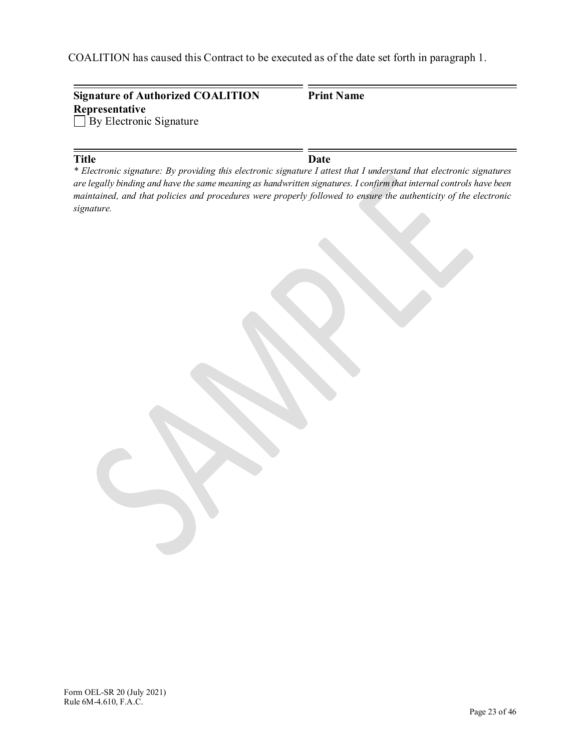COALITION has caused this Contract to be executed as of the date set forth in paragraph 1.

| <b>Signature of Authorized COALITION</b>         | <b>Print Name</b> |  |
|--------------------------------------------------|-------------------|--|
| Representative<br>$\Box$ By Electronic Signature |                   |  |
|                                                  |                   |  |

**Title Date** *\* Electronic signature: By providing this electronic signature I attest that I understand that electronic signatures are legally binding and have the same meaning as handwritten signatures. I confirm that internal controls have been maintained, and that policies and procedures were properly followed to ensure the authenticity of the electronic signature.*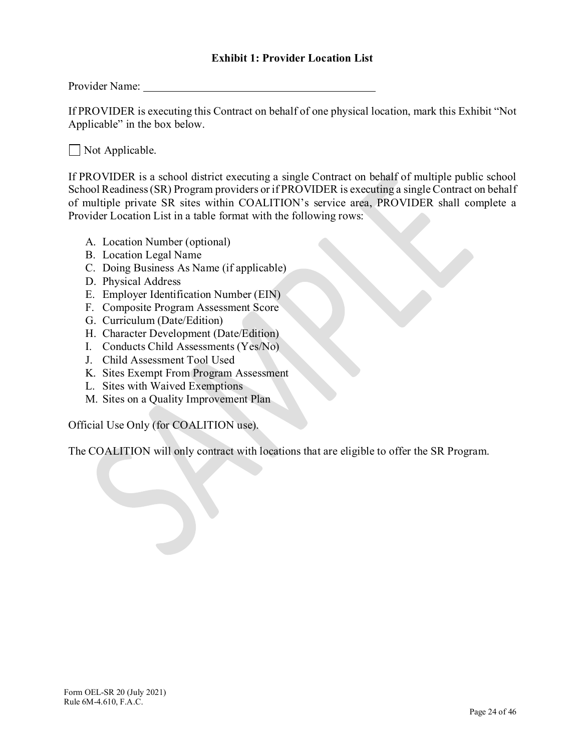Provider Name:

If PROVIDER is executing this Contract on behalf of one physical location, mark this Exhibit "Not Applicable" in the box below.

Not Applicable.

If PROVIDER is a school district executing a single Contract on behalf of multiple public school School Readiness (SR) Program providers or if PROVIDER is executing a single Contract on behalf of multiple private SR sites within COALITION's service area, PROVIDER shall complete a Provider Location List in a table format with the following rows:

- A. Location Number (optional)
- B. Location Legal Name
- C. Doing Business As Name (if applicable)
- D. Physical Address
- E. Employer Identification Number (EIN)
- F. Composite Program Assessment Score
- G. Curriculum (Date/Edition)
- H. Character Development (Date/Edition)
- I. Conducts Child Assessments (Yes/No)
- J. Child Assessment Tool Used
- K. Sites Exempt From Program Assessment
- L. Sites with Waived Exemptions
- M. Sites on a Quality Improvement Plan

Official Use Only (for COALITION use).

The COALITION will only contract with locations that are eligible to offer the SR Program.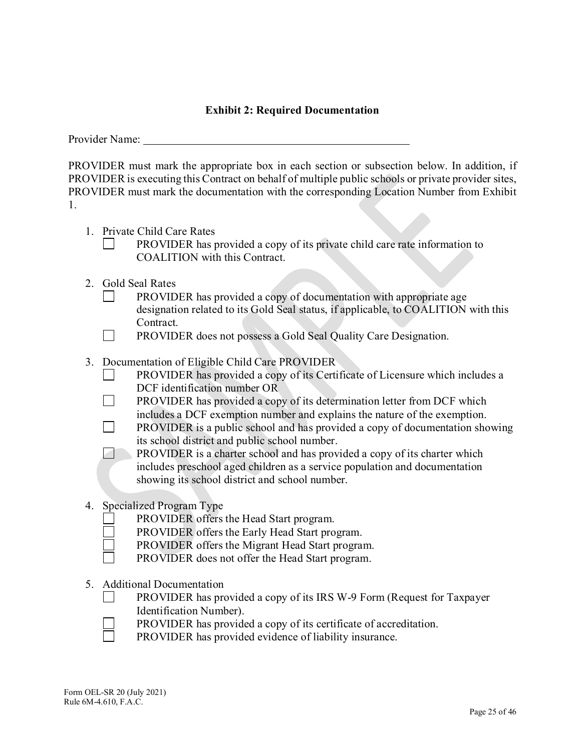# **Exhibit 2: Required Documentation**

Provider Name:

 $\Box$ 

PROVIDER must mark the appropriate box in each section or subsection below. In addition, if PROVIDER is executing this Contract on behalf of multiple public schools or private provider sites, PROVIDER must mark the documentation with the corresponding Location Number from Exhibit 1.

- 1. Private Child Care Rates
	- PROVIDER has provided a copy of its private child care rate information to COALITION with this Contract.
- 2. Gold Seal Rates
	- PROVIDER has provided a copy of documentation with appropriate age designation related to its Gold Seal status, if applicable, to COALITION with this Contract.
	- $\Box$ PROVIDER does not possess a Gold Seal Quality Care Designation.
- 3. Documentation of Eligible Child Care PROVIDER
	- PROVIDER has provided a copy of its Certificate of Licensure which includes a DCF identification number OR
	- $\Box$ PROVIDER has provided a copy of its determination letter from DCF which includes a DCF exemption number and explains the nature of the exemption.
	- $\Box$ PROVIDER is a public school and has provided a copy of documentation showing its school district and public school number.

7 PROVIDER is a charter school and has provided a copy of its charter which includes preschool aged children as a service population and documentation showing its school district and school number.

- 4. Specialized Program Type
	- PROVIDER offers the Head Start program.
	- PROVIDER offers the Early Head Start program.
	- PROVIDER offers the Migrant Head Start program.
	- PROVIDER does not offer the Head Start program.
- 5. Additional Documentation
	- PROVIDER has provided a copy of its IRS W-9 Form (Request for Taxpayer Identification Number).
	- PROVIDER has provided a copy of its certificate of accreditation.
	- PROVIDER has provided evidence of liability insurance.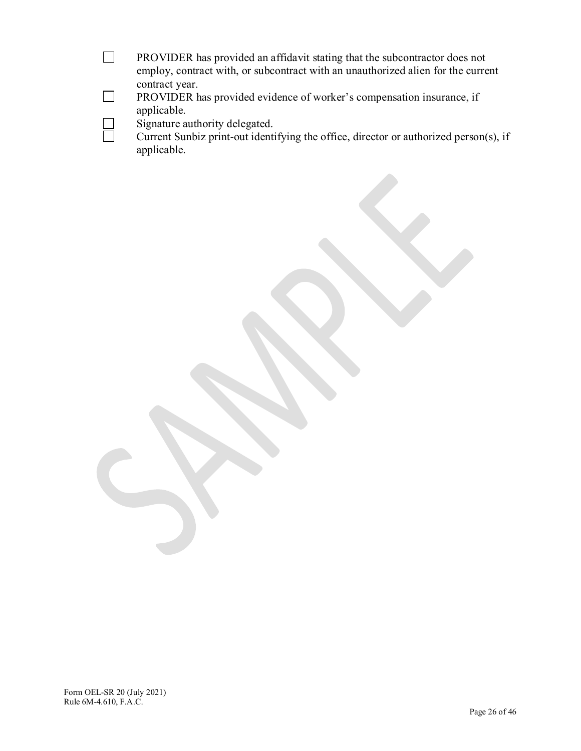| PROVIDER has provided an affidavit stating that the subcontractor does not       |  |
|----------------------------------------------------------------------------------|--|
| employ, contract with, or subcontract with an unauthorized alien for the current |  |
| contract year.                                                                   |  |
| . . <i>.</i>                                                                     |  |

PROVIDER has provided evidence of worker's compensation insurance, if applicable.

Signature authority delegated.

 $\Box$ 

 $\Box$ 

 $\Box$ 

Current Sunbiz print-out identifying the office, director or authorized person(s), if applicable.

Form OEL-SR 20 (July 2021) Rule 6M-4.610, F.A.C.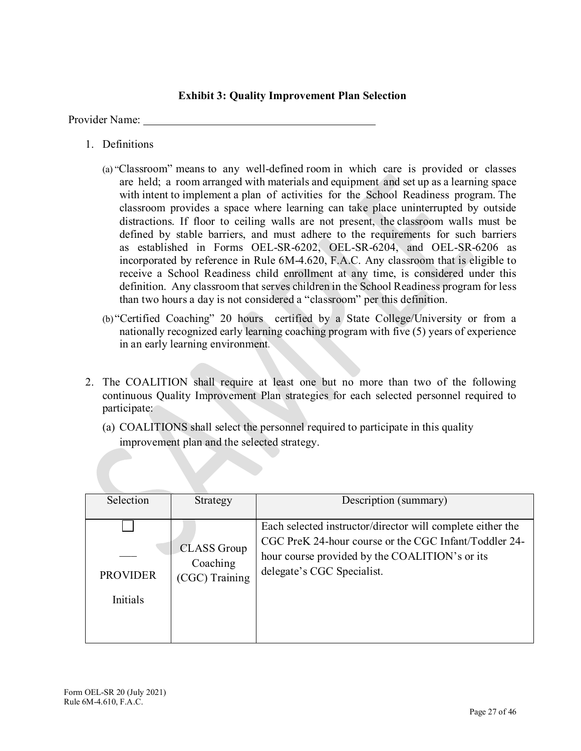# **Exhibit 3: Quality Improvement Plan Selection**

Provider Name:

- 1. Definitions
	- (a) "Classroom" means to any well-defined room in which care is provided or classes are held; a room arranged with materials and equipment and set up as a learning space with intent to implement a plan of activities for the School Readiness program. The classroom provides a space where learning can take place uninterrupted by outside distractions. If floor to ceiling walls are not present, the classroom walls must be defined by stable barriers, and must adhere to the requirements for such barriers as established in Forms OEL-SR-6202, OEL-SR-6204, and OEL-SR-6206 as incorporated by reference in Rule 6M-4.620, F.A.C. Any classroom that is eligible to receive a School Readiness child enrollment at any time, is considered under this definition. Any classroom that serves children in the School Readiness program for less than two hours a day is not considered a "classroom" per this definition.
	- (b) "Certified Coaching" 20 hours certified by a State College/University or from a nationally recognized early learning coaching program with five (5) years of experience in an early learning environment.
- 2. The COALITION shall require at least one but no more than two of the following continuous Quality Improvement Plan strategies for each selected personnel required to participate:
	- (a) COALITIONS shall select the personnel required to participate in this quality improvement plan and the selected strategy.

| Selection                   | Strategy                                         | Description (summary)                                                                                                                                                                               |
|-----------------------------|--------------------------------------------------|-----------------------------------------------------------------------------------------------------------------------------------------------------------------------------------------------------|
| <b>PROVIDER</b><br>Initials | <b>CLASS</b> Group<br>Coaching<br>(CGC) Training | Each selected instructor/director will complete either the<br>CGC PreK 24-hour course or the CGC Infant/Toddler 24-<br>hour course provided by the COALITION's or its<br>delegate's CGC Specialist. |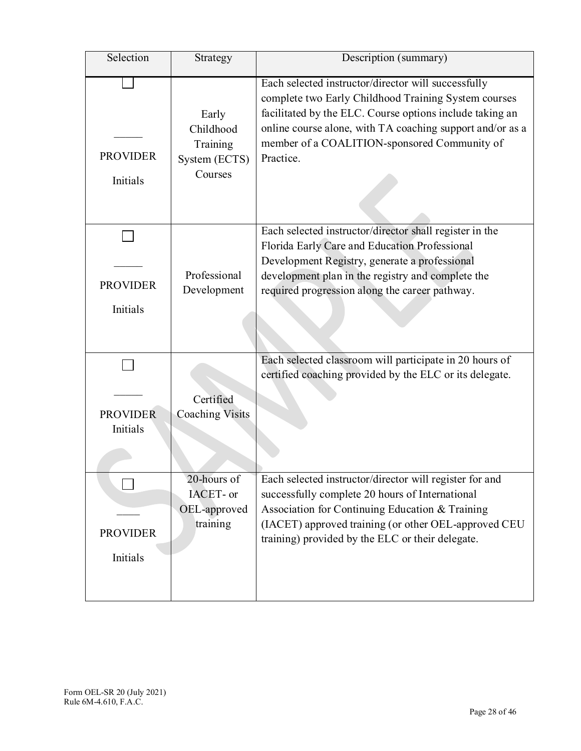| Selection                   | Strategy                                                   | Description (summary)                                                                                                                                                                                                                                                                             |
|-----------------------------|------------------------------------------------------------|---------------------------------------------------------------------------------------------------------------------------------------------------------------------------------------------------------------------------------------------------------------------------------------------------|
| <b>PROVIDER</b><br>Initials | Early<br>Childhood<br>Training<br>System (ECTS)<br>Courses | Each selected instructor/director will successfully<br>complete two Early Childhood Training System courses<br>facilitated by the ELC. Course options include taking an<br>online course alone, with TA coaching support and/or as a<br>member of a COALITION-sponsored Community of<br>Practice. |
| <b>PROVIDER</b><br>Initials | Professional<br>Development                                | Each selected instructor/director shall register in the<br>Florida Early Care and Education Professional<br>Development Registry, generate a professional<br>development plan in the registry and complete the<br>required progression along the career pathway.                                  |
| <b>PROVIDER</b><br>Initials | Certified<br><b>Coaching Visits</b>                        | Each selected classroom will participate in 20 hours of<br>certified coaching provided by the ELC or its delegate.                                                                                                                                                                                |
| <b>PROVIDER</b><br>Initials | 20-hours of<br>IACET- or<br>OEL-approved<br>training       | Each selected instructor/director will register for and<br>successfully complete 20 hours of International<br>Association for Continuing Education & Training<br>(IACET) approved training (or other OEL-approved CEU<br>training) provided by the ELC or their delegate.                         |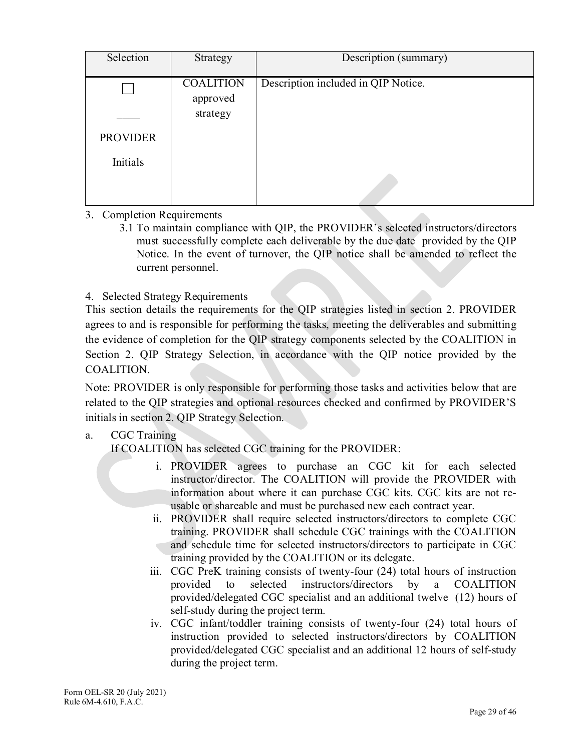| Selection       | Strategy                     | Description (summary)               |
|-----------------|------------------------------|-------------------------------------|
|                 | <b>COALITION</b><br>approved | Description included in QIP Notice. |
|                 | strategy                     |                                     |
| <b>PROVIDER</b> |                              |                                     |
| Initials        |                              |                                     |
|                 |                              |                                     |

# 3. Completion Requirements

3.1 To maintain compliance with QIP, the PROVIDER's selected instructors/directors must successfully complete each deliverable by the due date provided by the QIP Notice. In the event of turnover, the QIP notice shall be amended to reflect the current personnel.

## 4. Selected Strategy Requirements

This section details the requirements for the QIP strategies listed in section 2. PROVIDER agrees to and is responsible for performing the tasks, meeting the deliverables and submitting the evidence of completion for the QIP strategy components selected by the COALITION in Section 2. QIP Strategy Selection, in accordance with the QIP notice provided by the COALITION.

Note: PROVIDER is only responsible for performing those tasks and activities below that are related to the QIP strategies and optional resources checked and confirmed by PROVIDER'S initials in section 2. QIP Strategy Selection.

# a. CGC Training

If COALITION has selected CGC training for the PROVIDER:

- i. PROVIDER agrees to purchase an CGC kit for each selected instructor/director. The COALITION will provide the PROVIDER with information about where it can purchase CGC kits. CGC kits are not reusable or shareable and must be purchased new each contract year.
- ii. PROVIDER shall require selected instructors/directors to complete CGC training. PROVIDER shall schedule CGC trainings with the COALITION and schedule time for selected instructors/directors to participate in CGC training provided by the COALITION or its delegate.
- iii. CGC PreK training consists of twenty-four (24) total hours of instruction provided to selected instructors/directors by a COALITION provided/delegated CGC specialist and an additional twelve (12) hours of self-study during the project term.
- iv. CGC infant/toddler training consists of twenty-four (24) total hours of instruction provided to selected instructors/directors by COALITION provided/delegated CGC specialist and an additional 12 hours of self-study during the project term.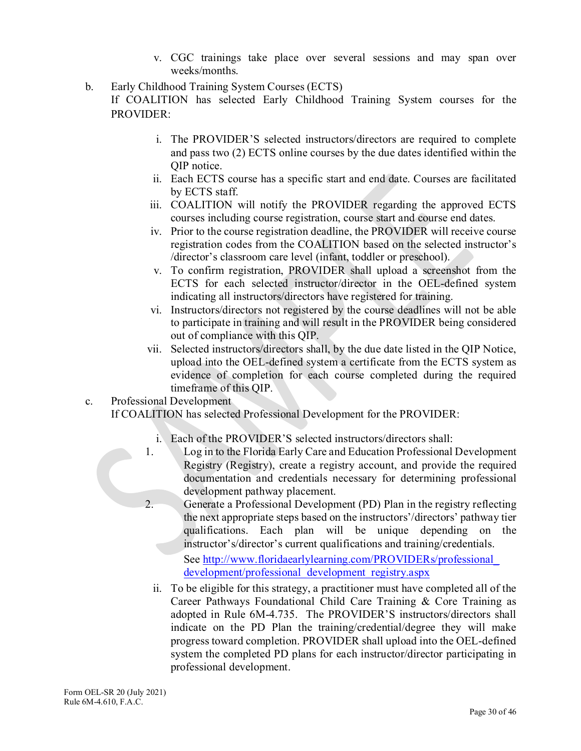- v. CGC trainings take place over several sessions and may span over weeks/months.
- b. Early Childhood Training System Courses (ECTS)

If COALITION has selected Early Childhood Training System courses for the PROVIDER:

- i. The PROVIDER'S selected instructors/directors are required to complete and pass two (2) ECTS online courses by the due dates identified within the QIP notice.
- ii. Each ECTS course has a specific start and end date. Courses are facilitated by ECTS staff.
- iii. COALITION will notify the PROVIDER regarding the approved ECTS courses including course registration, course start and course end dates.
- iv. Prior to the course registration deadline, the PROVIDER will receive course registration codes from the COALITION based on the selected instructor's /director's classroom care level (infant, toddler or preschool).
- v. To confirm registration, PROVIDER shall upload a screenshot from the ECTS for each selected instructor/director in the OEL-defined system indicating all instructors/directors have registered for training.
- vi. Instructors/directors not registered by the course deadlines will not be able to participate in training and will result in the PROVIDER being considered out of compliance with this QIP.
- vii. Selected instructors/directors shall, by the due date listed in the QIP Notice, upload into the OEL-defined system a certificate from the ECTS system as evidence of completion for each course completed during the required timeframe of this QIP.
- c. Professional Development

If COALITION has selected Professional Development for the PROVIDER:

- i. Each of the PROVIDER'S selected instructors/directors shall:
- 1. Log in to the Florida Early Care and Education Professional Development Registry (Registry), create a registry account, and provide the required documentation and credentials necessary for determining professional development pathway placement.
- 2. Generate a Professional Development (PD) Plan in the registry reflecting the next appropriate steps based on the instructors'/directors' pathway tier qualifications. Each plan will be unique depending on the instructor's/director's current qualifications and training/credentials.

See http://www.floridaearlylearning.com/PROVIDERs/professional [development/professional\\_development\\_registry.aspx](http://www.floridaearlylearning.com/providers/professional_development/professional_development_registry.aspx)

ii. To be eligible for this strategy, a practitioner must have completed all of the Career Pathways Foundational Child Care Training & Core Training as adopted in Rule 6M-4.735. The PROVIDER'S instructors/directors shall indicate on the PD Plan the training/credential/degree they will make progress toward completion. PROVIDER shall upload into the OEL-defined system the completed PD plans for each instructor/director participating in professional development.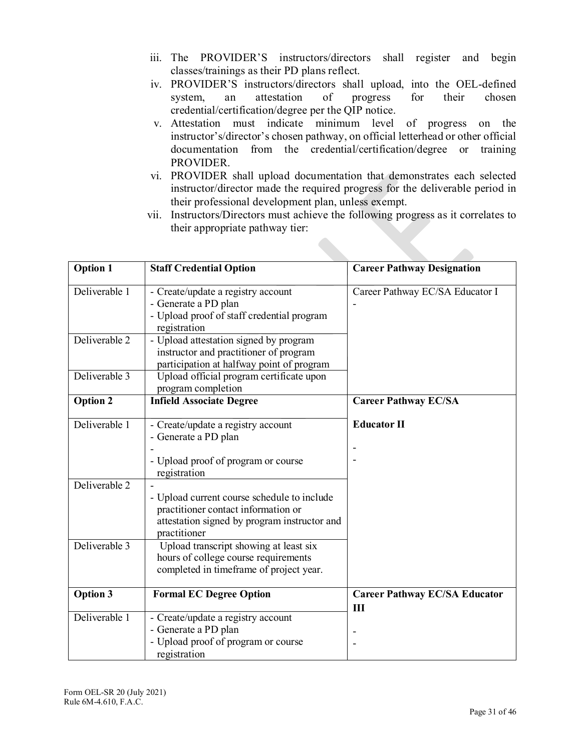- iii. The PROVIDER'S instructors/directors shall register and begin classes/trainings as their PD plans reflect.
- iv. PROVIDER'S instructors/directors shall upload, into the OEL-defined system, an attestation of progress for their chosen credential/certification/degree per the QIP notice.
- v. Attestation must indicate minimum level of progress on the instructor's/director's chosen pathway, on official letterhead or other official documentation from the credential/certification/degree or training PROVIDER.
- vi. PROVIDER shall upload documentation that demonstrates each selected instructor/director made the required progress for the deliverable period in their professional development plan, unless exempt.
- vii. Instructors/Directors must achieve the following progress as it correlates to their appropriate pathway tier:

| <b>Option 1</b> | <b>Staff Credential Option</b><br><b>Career Pathway Designation</b>                                                                                |                                      |  |  |
|-----------------|----------------------------------------------------------------------------------------------------------------------------------------------------|--------------------------------------|--|--|
| Deliverable 1   | - Create/update a registry account<br>- Generate a PD plan<br>- Upload proof of staff credential program<br>registration                           | Career Pathway EC/SA Educator I      |  |  |
| Deliverable 2   | - Upload attestation signed by program<br>instructor and practitioner of program<br>participation at halfway point of program                      |                                      |  |  |
| Deliverable 3   | Upload official program certificate upon<br>program completion                                                                                     |                                      |  |  |
| <b>Option 2</b> | <b>Infield Associate Degree</b>                                                                                                                    | <b>Career Pathway EC/SA</b>          |  |  |
| Deliverable 1   | - Create/update a registry account<br>- Generate a PD plan<br>- Upload proof of program or course<br>registration                                  | <b>Educator II</b>                   |  |  |
| Deliverable 2   | - Upload current course schedule to include<br>practitioner contact information or<br>attestation signed by program instructor and<br>practitioner |                                      |  |  |
| Deliverable 3   | Upload transcript showing at least six<br>hours of college course requirements<br>completed in timeframe of project year.                          |                                      |  |  |
| <b>Option 3</b> | <b>Formal EC Degree Option</b>                                                                                                                     | <b>Career Pathway EC/SA Educator</b> |  |  |
| Deliverable 1   | - Create/update a registry account<br>- Generate a PD plan<br>- Upload proof of program or course<br>registration                                  | Ш                                    |  |  |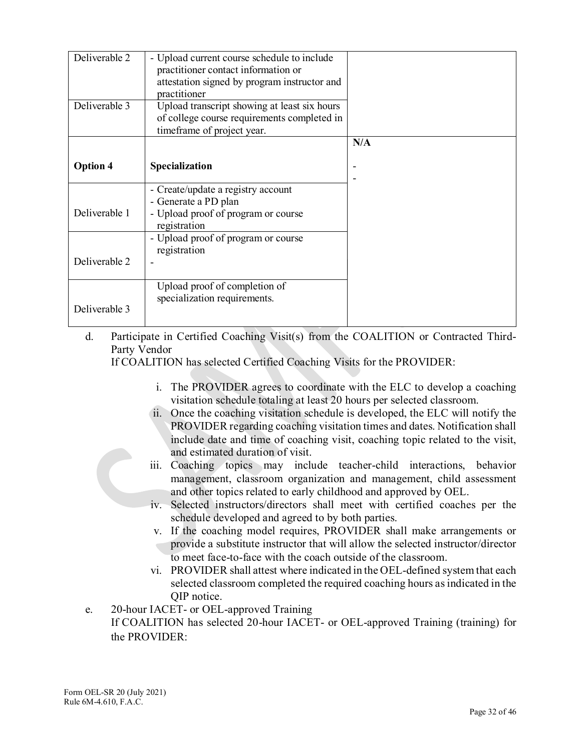| Deliverable 2   | - Upload current course schedule to include  |     |
|-----------------|----------------------------------------------|-----|
|                 | practitioner contact information or          |     |
|                 |                                              |     |
|                 | attestation signed by program instructor and |     |
|                 | practitioner                                 |     |
| Deliverable 3   | Upload transcript showing at least six hours |     |
|                 | of college course requirements completed in  |     |
|                 | timeframe of project year.                   |     |
|                 |                                              |     |
|                 |                                              | N/A |
|                 |                                              |     |
| <b>Option 4</b> | Specialization                               |     |
|                 |                                              |     |
|                 | - Create/update a registry account           |     |
|                 |                                              |     |
|                 | - Generate a PD plan                         |     |
| Deliverable 1   | - Upload proof of program or course          |     |
|                 | registration                                 |     |
|                 | - Upload proof of program or course          |     |
|                 |                                              |     |
|                 | registration                                 |     |
| Deliverable 2   |                                              |     |
|                 |                                              |     |
|                 | Upload proof of completion of                |     |
|                 | specialization requirements.                 |     |
|                 |                                              |     |
| Deliverable 3   |                                              |     |
|                 |                                              |     |

d. Participate in Certified Coaching Visit(s) from the COALITION or Contracted Third-Party Vendor

If COALITION has selected Certified Coaching Visits for the PROVIDER:

- i. The PROVIDER agrees to coordinate with the ELC to develop a coaching visitation schedule totaling at least 20 hours per selected classroom.
- ii. Once the coaching visitation schedule is developed, the ELC will notify the PROVIDER regarding coaching visitation times and dates. Notification shall include date and time of coaching visit, coaching topic related to the visit, and estimated duration of visit.
- iii. Coaching topics may include teacher-child interactions, behavior management, classroom organization and management, child assessment and other topics related to early childhood and approved by OEL.
- iv. Selected instructors/directors shall meet with certified coaches per the schedule developed and agreed to by both parties.
- v. If the coaching model requires, PROVIDER shall make arrangements or provide a substitute instructor that will allow the selected instructor/director to meet face-to-face with the coach outside of the classroom.
- vi. PROVIDER shall attest where indicated in the OEL-defined system that each selected classroom completed the required coaching hours as indicated in the QIP notice.
- e. 20-hour IACET- or OEL-approved Training

If COALITION has selected 20-hour IACET- or OEL-approved Training (training) for the PROVIDER: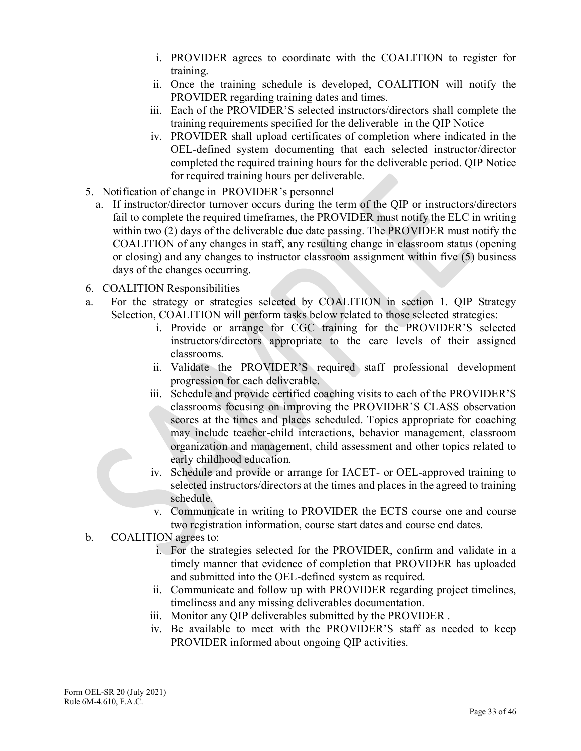- i. PROVIDER agrees to coordinate with the COALITION to register for training.
- ii. Once the training schedule is developed, COALITION will notify the PROVIDER regarding training dates and times.
- iii. Each of the PROVIDER'S selected instructors/directors shall complete the training requirements specified for the deliverable in the QIP Notice
- iv. PROVIDER shall upload certificates of completion where indicated in the OEL-defined system documenting that each selected instructor/director completed the required training hours for the deliverable period. QIP Notice for required training hours per deliverable.
- 5. Notification of change in PROVIDER's personnel
	- a. If instructor/director turnover occurs during the term of the QIP or instructors/directors fail to complete the required timeframes, the PROVIDER must notify the ELC in writing within two (2) days of the deliverable due date passing. The PROVIDER must notify the COALITION of any changes in staff, any resulting change in classroom status (opening or closing) and any changes to instructor classroom assignment within five (5) business days of the changes occurring.
- 6. COALITION Responsibilities
- a. For the strategy or strategies selected by COALITION in section 1. QIP Strategy Selection, COALITION will perform tasks below related to those selected strategies:
	- i. Provide or arrange for CGC training for the PROVIDER'S selected instructors/directors appropriate to the care levels of their assigned classrooms.
	- ii. Validate the PROVIDER'S required staff professional development progression for each deliverable.
	- iii. Schedule and provide certified coaching visits to each of the PROVIDER'S classrooms focusing on improving the PROVIDER'S CLASS observation scores at the times and places scheduled. Topics appropriate for coaching may include teacher-child interactions, behavior management, classroom organization and management, child assessment and other topics related to early childhood education.
	- iv. Schedule and provide or arrange for IACET- or OEL-approved training to selected instructors/directors at the times and places in the agreed to training schedule.
	- v. Communicate in writing to PROVIDER the ECTS course one and course two registration information, course start dates and course end dates.
- b. COALITION agrees to:
	- i. For the strategies selected for the PROVIDER, confirm and validate in a timely manner that evidence of completion that PROVIDER has uploaded and submitted into the OEL-defined system as required.
	- ii. Communicate and follow up with PROVIDER regarding project timelines, timeliness and any missing deliverables documentation.
	- iii. Monitor any QIP deliverables submitted by the PROVIDER .
	- iv. Be available to meet with the PROVIDER'S staff as needed to keep PROVIDER informed about ongoing QIP activities.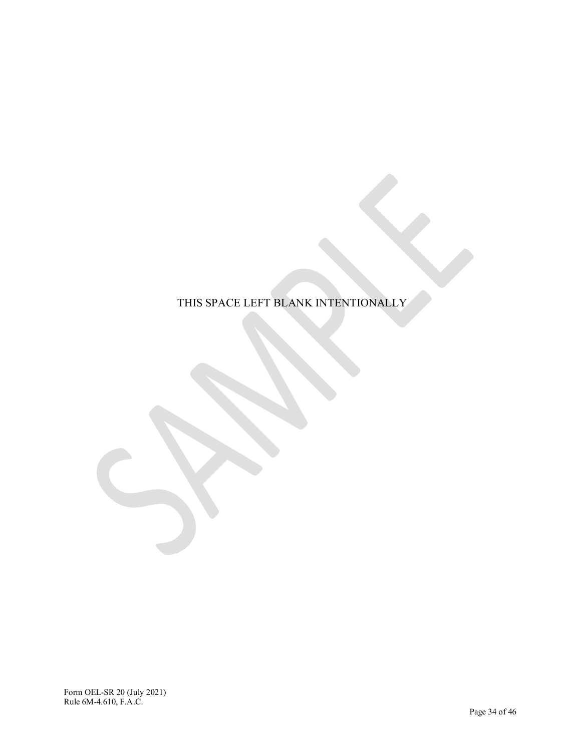# THIS SPACE LEFT BLANK INTENTIONALLY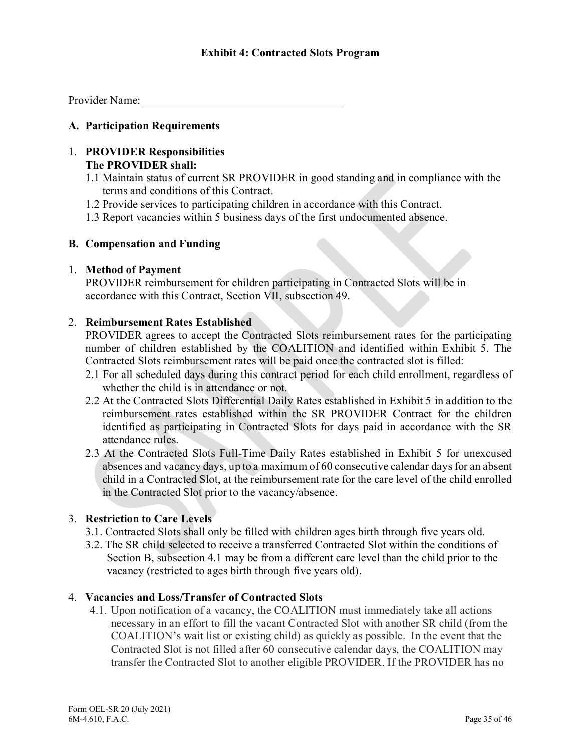Provider Name:

## **A. Participation Requirements**

## 1. **PROVIDER Responsibilities The PROVIDER shall:**

- 1.1 Maintain status of current SR PROVIDER in good standing and in compliance with the terms and conditions of this Contract.
- 1.2 Provide services to participating children in accordance with this Contract.
- 1.3 Report vacancies within 5 business days of the first undocumented absence.

## **B. Compensation and Funding**

## 1. **Method of Payment**

PROVIDER reimbursement for children participating in Contracted Slots will be in accordance with this Contract, Section VII, subsection 49.

## 2. **Reimbursement Rates Established**

PROVIDER agrees to accept the Contracted Slots reimbursement rates for the participating number of children established by the COALITION and identified within Exhibit 5. The Contracted Slots reimbursement rates will be paid once the contracted slot is filled:

- 2.1 For all scheduled days during this contract period for each child enrollment, regardless of whether the child is in attendance or not.
- 2.2 At the Contracted Slots Differential Daily Rates established in Exhibit 5 in addition to the reimbursement rates established within the SR PROVIDER Contract for the children identified as participating in Contracted Slots for days paid in accordance with the SR attendance rules.
- 2.3 At the Contracted Slots Full-Time Daily Rates established in Exhibit 5 for unexcused absences and vacancy days, up to a maximum of 60 consecutive calendar days for an absent child in a Contracted Slot, at the reimbursement rate for the care level of the child enrolled in the Contracted Slot prior to the vacancy/absence.

## 3. **Restriction to Care Levels**

- 3.1. Contracted Slots shall only be filled with children ages birth through five years old.
- 3.2. The SR child selected to receive a transferred Contracted Slot within the conditions of Section B, subsection 4.1 may be from a different care level than the child prior to the vacancy (restricted to ages birth through five years old).

## 4. **Vacancies and Loss/Transfer of Contracted Slots**

4.1. Upon notification of a vacancy, the COALITION must immediately take all actions necessary in an effort to fill the vacant Contracted Slot with another SR child (from the COALITION's wait list or existing child) as quickly as possible. In the event that the Contracted Slot is not filled after 60 consecutive calendar days, the COALITION may transfer the Contracted Slot to another eligible PROVIDER. If the PROVIDER has no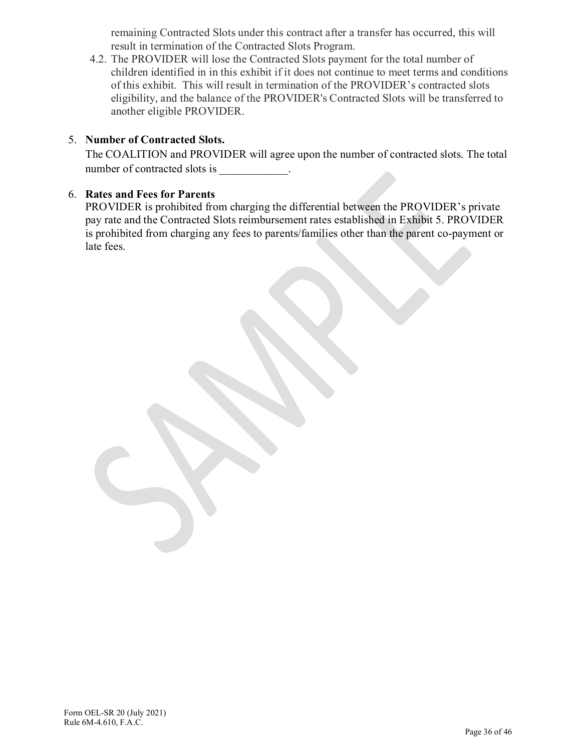remaining Contracted Slots under this contract after a transfer has occurred, this will result in termination of the Contracted Slots Program.

4.2. The PROVIDER will lose the Contracted Slots payment for the total number of children identified in in this exhibit if it does not continue to meet terms and conditions of this exhibit. This will result in termination of the PROVIDER's contracted slots eligibility, and the balance of the PROVIDER's Contracted Slots will be transferred to another eligible PROVIDER.

# 5. **Number of Contracted Slots.**

The COALITION and PROVIDER will agree upon the number of contracted slots. The total number of contracted slots is \_\_\_\_\_\_\_\_\_\_\_\_.

## 6. **Rates and Fees for Parents**

PROVIDER is prohibited from charging the differential between the PROVIDER's private pay rate and the Contracted Slots reimbursement rates established in Exhibit 5. PROVIDER is prohibited from charging any fees to parents/families other than the parent co-payment or late fees.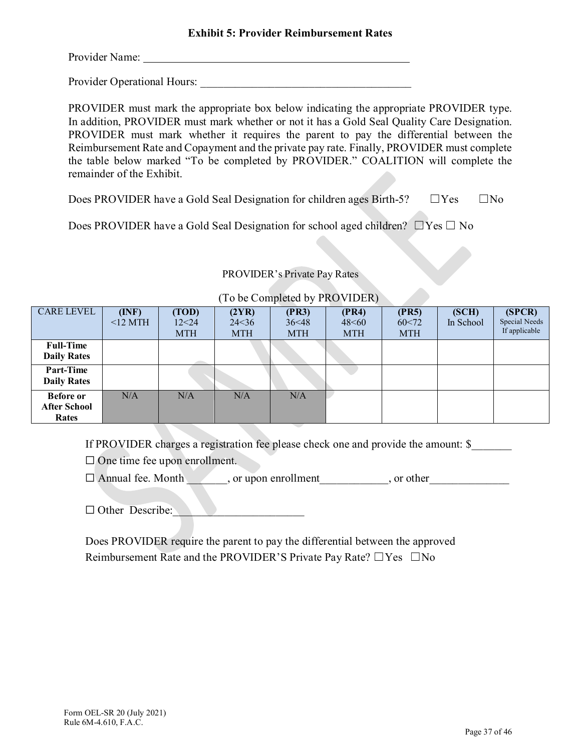Provider Name:

Provider Operational Hours:

PROVIDER must mark the appropriate box below indicating the appropriate PROVIDER type. In addition, PROVIDER must mark whether or not it has a Gold Seal Quality Care Designation. PROVIDER must mark whether it requires the parent to pay the differential between the Reimbursement Rate and Copayment and the private pay rate. Finally, PROVIDER must complete the table below marked "To be completed by PROVIDER." COALITION will complete the remainder of the Exhibit.

Does PROVIDER have a Gold Seal Designation for children ages Birth-5?  $\square$  Yes  $\square$  No

Does PROVIDER have a Gold Seal Designation for school aged children?  $\square$  Yes  $\square$  No

## PROVIDER's Private Pay Rates

| <b>CARE LEVEL</b>                                | (INF)<br>$12~\mathrm{MTH}$ | (TOD)<br>12<24<br><b>MTH</b> | (2YR)<br>24 < 36<br><b>MTH</b> | (PR3)<br>36<48<br><b>MTH</b> | (PR4)<br>48<60<br><b>MTH</b> | (PR5)<br>60<72<br><b>MTH</b> | (SCH)<br>In School | (SPCR)<br>Special Needs<br>If applicable |
|--------------------------------------------------|----------------------------|------------------------------|--------------------------------|------------------------------|------------------------------|------------------------------|--------------------|------------------------------------------|
| <b>Full-Time</b><br><b>Daily Rates</b>           |                            |                              |                                |                              |                              |                              |                    |                                          |
| <b>Part-Time</b><br><b>Daily Rates</b>           |                            |                              |                                |                              |                              |                              |                    |                                          |
| <b>Before or</b><br><b>After School</b><br>Rates | N/A                        | N/A                          | N/A                            | N/A                          |                              |                              |                    |                                          |

## (To be Completed by PROVIDER)

If PROVIDER charges a registration fee please check one and provide the amount: \$

□ One time fee upon enrollment.

 $\Box$  Annual fee. Month  $\Box$ , or upon enrollment , or other

□ Other Describe:

Does PROVIDER require the parent to pay the differential between the approved Reimbursement Rate and the PROVIDER'S Private Pay Rate? □Yes □No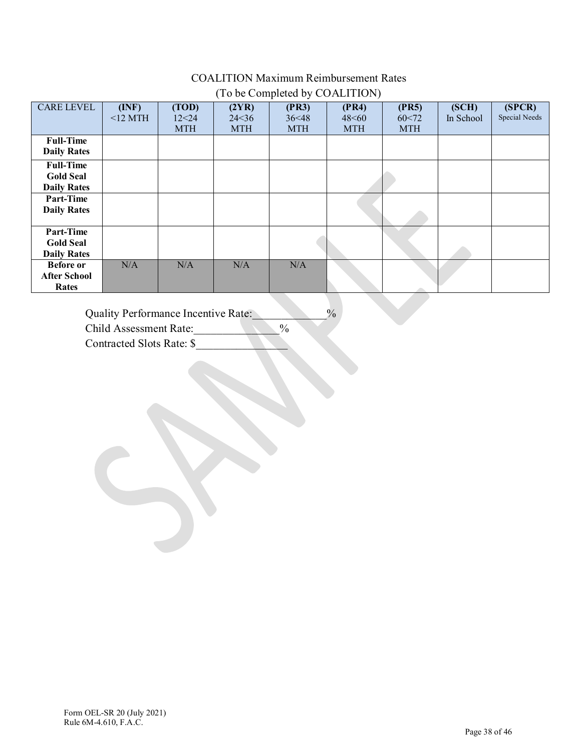# COALITION Maximum Reimbursement Rates (To be Completed by COALITION)

| <b>CARE LEVEL</b>   | (INF)      | (TOD)      | (2YR)      | (PR3)      | (PR4)      | (PR5)      | (SCH)     | (SPCR)        |
|---------------------|------------|------------|------------|------------|------------|------------|-----------|---------------|
|                     | $<$ 12 MTH | 12<24      | 24 < 36    | 36<48      | 48<60      | 60<72      | In School | Special Needs |
|                     |            |            |            |            |            |            |           |               |
|                     |            | <b>MTH</b> | <b>MTH</b> | <b>MTH</b> | <b>MTH</b> | <b>MTH</b> |           |               |
| <b>Full-Time</b>    |            |            |            |            |            |            |           |               |
|                     |            |            |            |            |            |            |           |               |
| <b>Daily Rates</b>  |            |            |            |            |            |            |           |               |
| <b>Full-Time</b>    |            |            |            |            |            |            |           |               |
| <b>Gold Seal</b>    |            |            |            |            |            |            |           |               |
|                     |            |            |            |            |            |            |           |               |
| <b>Daily Rates</b>  |            |            |            |            |            |            |           |               |
| Part-Time           |            |            |            |            |            |            |           |               |
| <b>Daily Rates</b>  |            |            |            |            |            |            |           |               |
|                     |            |            |            |            |            |            |           |               |
| <b>Part-Time</b>    |            |            |            |            |            |            |           |               |
| <b>Gold Seal</b>    |            |            |            |            |            |            |           |               |
| <b>Daily Rates</b>  |            |            |            |            |            |            |           |               |
| <b>Before</b> or    | N/A        | N/A        | N/A        | N/A        |            |            |           |               |
| <b>After School</b> |            |            |            |            |            |            |           |               |
| Rates               |            |            |            |            |            |            |           |               |

Quality Performance Incentive Rate:  $\%$ 

Child Assessment Rate:  $\%$ 

Contracted Slots Rate: \$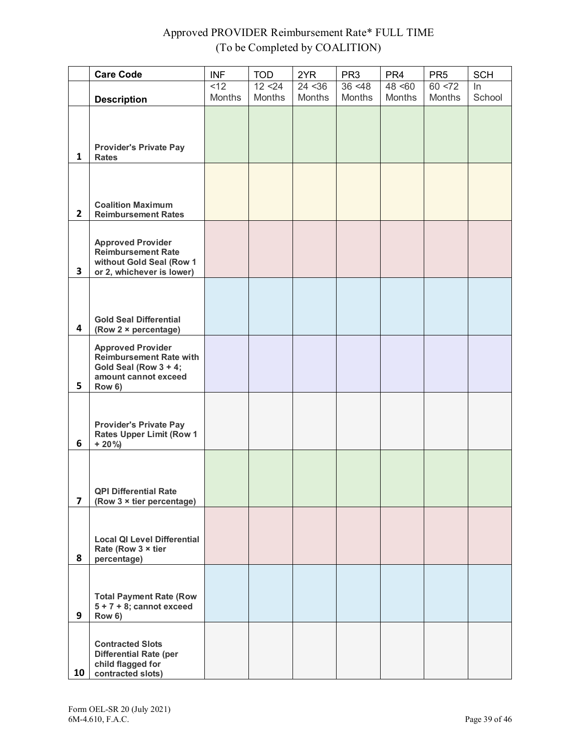# Approved PROVIDER Reimbursement Rate\* FULL TIME (To be Completed by COALITION)

|                | <b>Care Code</b>                                                                                                      | <b>INF</b>     | <b>TOD</b>    | 2YR           | PR <sub>3</sub> | PR <sub>4</sub> | PR <sub>5</sub> | <b>SCH</b> |
|----------------|-----------------------------------------------------------------------------------------------------------------------|----------------|---------------|---------------|-----------------|-----------------|-----------------|------------|
|                |                                                                                                                       | $\overline{2}$ | 12 < 24       | 24 < 36       | 36 < 48         | 48 < 60         | 60 < 72         | $\ln$      |
|                | <b>Description</b>                                                                                                    | <b>Months</b>  | <b>Months</b> | <b>Months</b> | <b>Months</b>   | <b>Months</b>   | <b>Months</b>   | School     |
| $\mathbf{1}$   | <b>Provider's Private Pay</b><br><b>Rates</b>                                                                         |                |               |               |                 |                 |                 |            |
| 2 <sup>1</sup> | <b>Coalition Maximum</b><br><b>Reimbursement Rates</b>                                                                |                |               |               |                 |                 |                 |            |
| 3              | <b>Approved Provider</b><br><b>Reimbursement Rate</b><br>without Gold Seal (Row 1<br>or 2, whichever is lower)        |                |               |               |                 |                 |                 |            |
| 4              | <b>Gold Seal Differential</b><br>(Row 2 × percentage)                                                                 |                |               |               |                 |                 |                 |            |
| 5              | <b>Approved Provider</b><br><b>Reimbursement Rate with</b><br>Gold Seal (Row 3 + 4;<br>amount cannot exceed<br>Row 6) |                |               |               |                 |                 |                 |            |
| 6              | <b>Provider's Private Pay</b><br><b>Rates Upper Limit (Row 1</b><br>$+20\%$                                           |                |               |               |                 |                 |                 |            |
| 7              | <b>QPI Differential Rate</b><br>(Row $3 \times$ tier percentage)                                                      |                |               |               |                 |                 |                 |            |
| 8              | <b>Local QI Level Differential</b><br>Rate (Row 3 x tier<br>percentage)                                               |                |               |               |                 |                 |                 |            |
| 9              | <b>Total Payment Rate (Row</b><br>$5 + 7 + 8$ ; cannot exceed<br>Row 6)                                               |                |               |               |                 |                 |                 |            |
| 10             | <b>Contracted Slots</b><br><b>Differential Rate (per</b><br>child flagged for<br>contracted slots)                    |                |               |               |                 |                 |                 |            |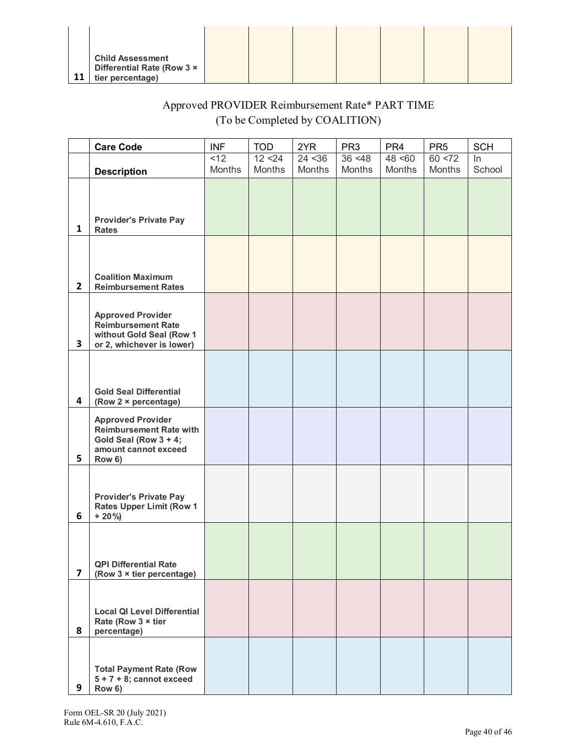|    | <b>Child Assessment</b><br>Differential Rate (Row 3 x |  |  |  |  |
|----|-------------------------------------------------------|--|--|--|--|
| 11 | tier percentage)                                      |  |  |  |  |

# Approved PROVIDER Reimbursement Rate\* PART TIME (To be Completed by COALITION)

|                         | <b>Care Code</b>                                                                                                      | <b>INF</b> | <b>TOD</b>    | 2YR     | PR <sub>3</sub> | PR <sub>4</sub> | PR <sub>5</sub> | <b>SCH</b> |
|-------------------------|-----------------------------------------------------------------------------------------------------------------------|------------|---------------|---------|-----------------|-----------------|-----------------|------------|
|                         |                                                                                                                       | <12        | 12 < 24       | 24 < 36 | 36 < 48         | 48 < 60         | 60 < 72         | $\ln$      |
|                         | <b>Description</b>                                                                                                    | Months     | <b>Months</b> | Months  | Months          | <b>Months</b>   | Months          | School     |
| $\mathbf{1}$            | <b>Provider's Private Pay</b><br><b>Rates</b>                                                                         |            |               |         |                 |                 |                 |            |
| $\mathbf{2}$            | <b>Coalition Maximum</b><br><b>Reimbursement Rates</b>                                                                |            |               |         |                 |                 |                 |            |
| $\mathbf{3}$            | <b>Approved Provider</b><br><b>Reimbursement Rate</b><br>without Gold Seal (Row 1<br>or 2, whichever is lower)        |            |               |         |                 |                 |                 |            |
| $\overline{\mathbf{4}}$ | <b>Gold Seal Differential</b><br>(Row $2 \times$ percentage)                                                          |            |               |         |                 |                 |                 |            |
| 5                       | <b>Approved Provider</b><br><b>Reimbursement Rate with</b><br>Gold Seal (Row 3 + 4;<br>amount cannot exceed<br>Row 6) |            |               |         |                 |                 |                 |            |
| 6                       | <b>Provider's Private Pay</b><br><b>Rates Upper Limit (Row 1</b><br>$+20\%$                                           |            |               |         |                 |                 |                 |            |
| 7                       | <b>QPI Differential Rate</b><br>(Row 3 x tier percentage)                                                             |            |               |         |                 |                 |                 |            |
| 8                       | <b>Local QI Level Differential</b><br>Rate (Row 3 x tier<br>percentage)                                               |            |               |         |                 |                 |                 |            |
| 9                       | <b>Total Payment Rate (Row</b><br>$5 + 7 + 8$ ; cannot exceed<br>Row 6)                                               |            |               |         |                 |                 |                 |            |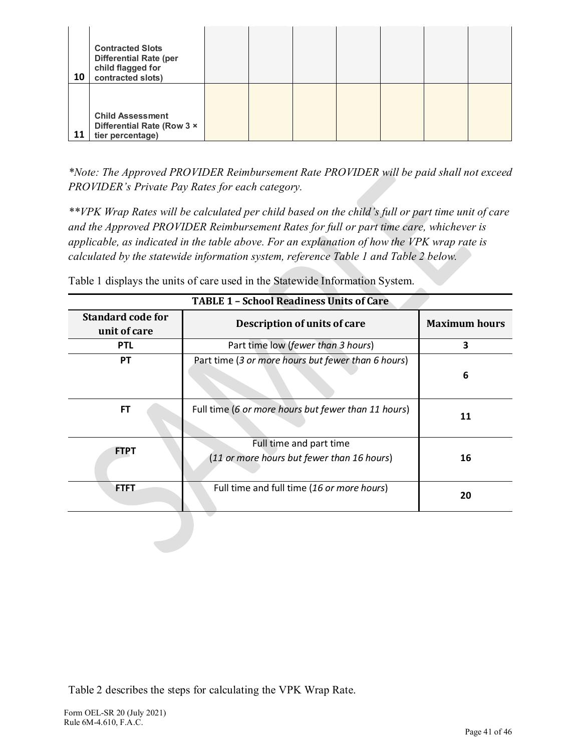| 10 | <b>Contracted Slots</b><br><b>Differential Rate (per</b><br>child flagged for<br>contracted slots) |  |  |  |  |
|----|----------------------------------------------------------------------------------------------------|--|--|--|--|
| 11 | <b>Child Assessment</b><br>Differential Rate (Row 3 x<br>tier percentage)                          |  |  |  |  |

*\*Note: The Approved PROVIDER Reimbursement Rate PROVIDER will be paid shall not exceed PROVIDER's Private Pay Rates for each category.*

*\*\*VPK Wrap Rates will be calculated per child based on the child's full or part time unit of care and the Approved PROVIDER Reimbursement Rates for full or part time care, whichever is applicable, as indicated in the table above. For an explanation of how the VPK wrap rate is calculated by the statewide information system, reference Table 1 and Table 2 below.*

| <b>TABLE 1 - School Readiness Units of Care</b> |                                                                       |                      |  |  |  |  |
|-------------------------------------------------|-----------------------------------------------------------------------|----------------------|--|--|--|--|
| <b>Standard code for</b><br>unit of care        | Description of units of care                                          | <b>Maximum hours</b> |  |  |  |  |
| <b>PTL</b>                                      | Part time low (fewer than 3 hours)                                    | 3                    |  |  |  |  |
| <b>PT</b>                                       | Part time (3 or more hours but fewer than 6 hours)                    | 6                    |  |  |  |  |
| <b>FT</b>                                       | Full time (6 or more hours but fewer than 11 hours)                   | 11                   |  |  |  |  |
| <b>FTPT</b>                                     | Full time and part time<br>(11 or more hours but fewer than 16 hours) | 16                   |  |  |  |  |
| <b>FTFT</b>                                     | Full time and full time (16 or more hours)                            | 20                   |  |  |  |  |

Table 1 displays the units of care used in the Statewide Information System.

Table 2 describes the steps for calculating the VPK Wrap Rate.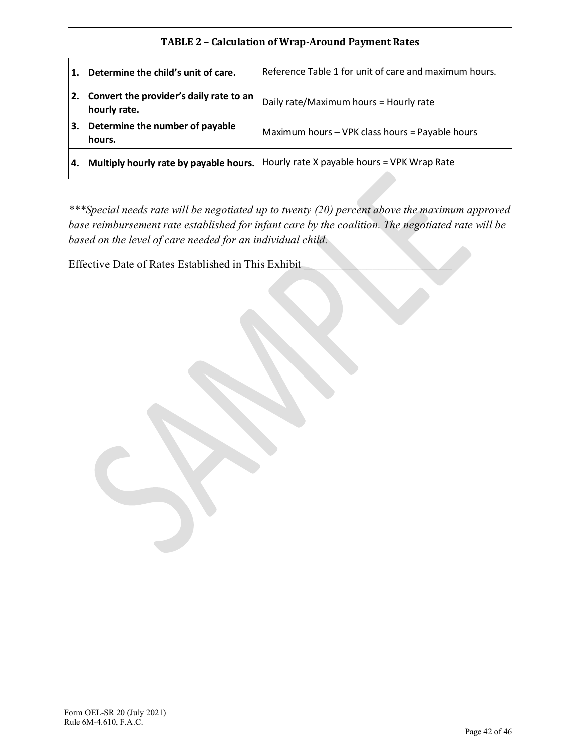# **TABLE 2 – Calculation of Wrap-Around Payment Rates**

|    | Determine the child's unit of care.                     | Reference Table 1 for unit of care and maximum hours. |
|----|---------------------------------------------------------|-------------------------------------------------------|
| 2. | Convert the provider's daily rate to an<br>hourly rate. | Daily rate/Maximum hours = Hourly rate                |
| 3. | Determine the number of payable<br>hours.               | Maximum hours - VPK class hours = Payable hours       |
|    | Multiply hourly rate by payable hours.                  | Hourly rate X payable hours = VPK Wrap Rate           |

*\*\*\*Special needs rate will be negotiated up to twenty (20) percent above the maximum approved base reimbursement rate established for infant care by the coalition. The negotiated rate will be based on the level of care needed for an individual child.*

Effective Date of Rates Established in This Exhibit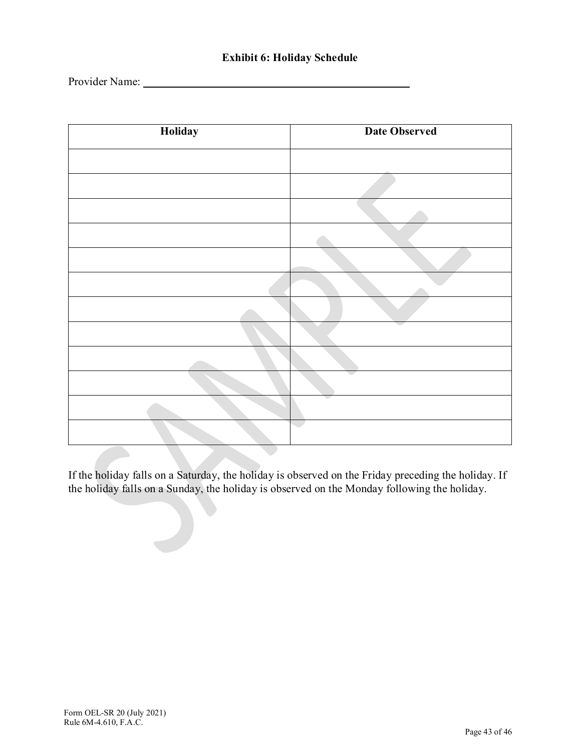# **Exhibit 6: Holiday Schedule**

Provider Name:

| Holiday | <b>Date Observed</b> |
|---------|----------------------|
|         |                      |
|         |                      |
|         |                      |
|         |                      |
|         |                      |
|         |                      |
|         |                      |
|         |                      |
|         |                      |
|         |                      |
|         |                      |
|         |                      |

If the holiday falls on a Saturday, the holiday is observed on the Friday preceding the holiday. If the holiday falls on a Sunday, the holiday is observed on the Monday following the holiday.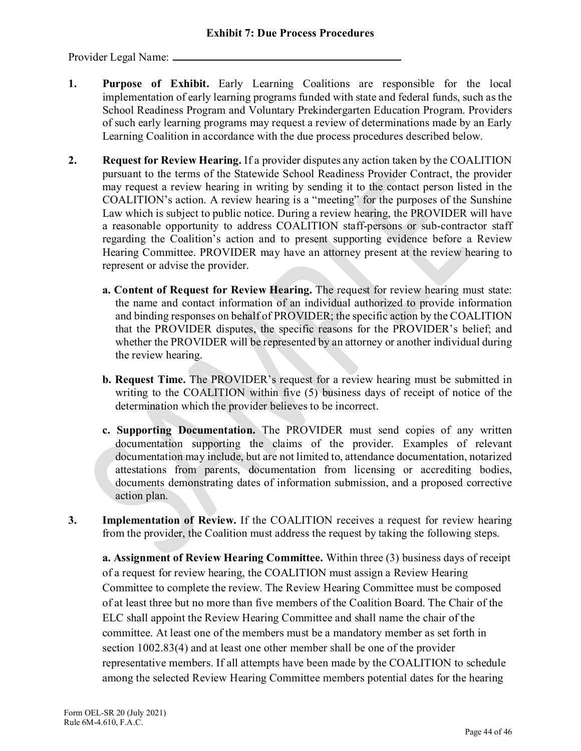Provider Legal Name:

- **1. Purpose of Exhibit.** Early Learning Coalitions are responsible for the local implementation of early learning programs funded with state and federal funds, such as the School Readiness Program and Voluntary Prekindergarten Education Program. Providers of such early learning programs may request a review of determinations made by an Early Learning Coalition in accordance with the due process procedures described below.
- **2. Request for Review Hearing.** If a provider disputes any action taken by the COALITION pursuant to the terms of the Statewide School Readiness Provider Contract, the provider may request a review hearing in writing by sending it to the contact person listed in the COALITION's action. A review hearing is a "meeting" for the purposes of the Sunshine Law which is subject to public notice. During a review hearing, the PROVIDER will have a reasonable opportunity to address COALITION staff-persons or sub-contractor staff regarding the Coalition's action and to present supporting evidence before a Review Hearing Committee. PROVIDER may have an attorney present at the review hearing to represent or advise the provider.
	- **a. Content of Request for Review Hearing.** The request for review hearing must state: the name and contact information of an individual authorized to provide information and binding responses on behalf of PROVIDER; the specific action by the COALITION that the PROVIDER disputes, the specific reasons for the PROVIDER's belief; and whether the PROVIDER will be represented by an attorney or another individual during the review hearing.
	- **b. Request Time.** The PROVIDER's request for a review hearing must be submitted in writing to the COALITION within five (5) business days of receipt of notice of the determination which the provider believes to be incorrect.
	- **c. Supporting Documentation.** The PROVIDER must send copies of any written documentation supporting the claims of the provider. Examples of relevant documentation may include, but are not limited to, attendance documentation, notarized attestations from parents, documentation from licensing or accrediting bodies, documents demonstrating dates of information submission, and a proposed corrective action plan.
- **3. Implementation of Review.** If the COALITION receives a request for review hearing from the provider, the Coalition must address the request by taking the following steps.

**a. Assignment of Review Hearing Committee.** Within three (3) business days of receipt of a request for review hearing, the COALITION must assign a Review Hearing Committee to complete the review. The Review Hearing Committee must be composed of at least three but no more than five members of the Coalition Board. The Chair of the ELC shall appoint the Review Hearing Committee and shall name the chair of the committee. At least one of the members must be a mandatory member as set forth in section 1002.83(4) and at least one other member shall be one of the provider representative members. If all attempts have been made by the COALITION to schedule among the selected Review Hearing Committee members potential dates for the hearing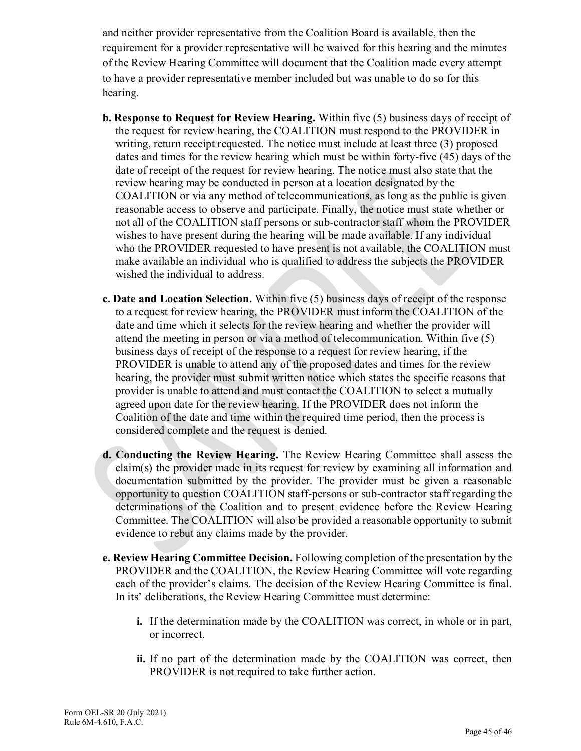and neither provider representative from the Coalition Board is available, then the requirement for a provider representative will be waived for this hearing and the minutes of the Review Hearing Committee will document that the Coalition made every attempt to have a provider representative member included but was unable to do so for this hearing.

- **b. Response to Request for Review Hearing.** Within five (5) business days of receipt of the request for review hearing, the COALITION must respond to the PROVIDER in writing, return receipt requested. The notice must include at least three (3) proposed dates and times for the review hearing which must be within forty-five (45) days of the date of receipt of the request for review hearing. The notice must also state that the review hearing may be conducted in person at a location designated by the COALITION or via any method of telecommunications, as long as the public is given reasonable access to observe and participate. Finally, the notice must state whether or not all of the COALITION staff persons or sub-contractor staff whom the PROVIDER wishes to have present during the hearing will be made available. If any individual who the PROVIDER requested to have present is not available, the COALITION must make available an individual who is qualified to address the subjects the PROVIDER wished the individual to address.
- **c. Date and Location Selection.** Within five (5) business days of receipt of the response to a request for review hearing, the PROVIDER must inform the COALITION of the date and time which it selects for the review hearing and whether the provider will attend the meeting in person or via a method of telecommunication. Within five (5) business days of receipt of the response to a request for review hearing, if the PROVIDER is unable to attend any of the proposed dates and times for the review hearing, the provider must submit written notice which states the specific reasons that provider is unable to attend and must contact the COALITION to select a mutually agreed upon date for the review hearing. If the PROVIDER does not inform the Coalition of the date and time within the required time period, then the process is considered complete and the request is denied.
- **d. Conducting the Review Hearing.** The Review Hearing Committee shall assess the claim(s) the provider made in its request for review by examining all information and documentation submitted by the provider. The provider must be given a reasonable opportunity to question COALITION staff-persons or sub-contractor staff regarding the determinations of the Coalition and to present evidence before the Review Hearing Committee. The COALITION will also be provided a reasonable opportunity to submit evidence to rebut any claims made by the provider.
- **e. Review Hearing Committee Decision.** Following completion of the presentation by the PROVIDER and the COALITION, the Review Hearing Committee will vote regarding each of the provider's claims. The decision of the Review Hearing Committee is final. In its' deliberations, the Review Hearing Committee must determine:
	- **i.** If the determination made by the COALITION was correct, in whole or in part, or incorrect.
	- **ii.** If no part of the determination made by the COALITION was correct, then PROVIDER is not required to take further action.